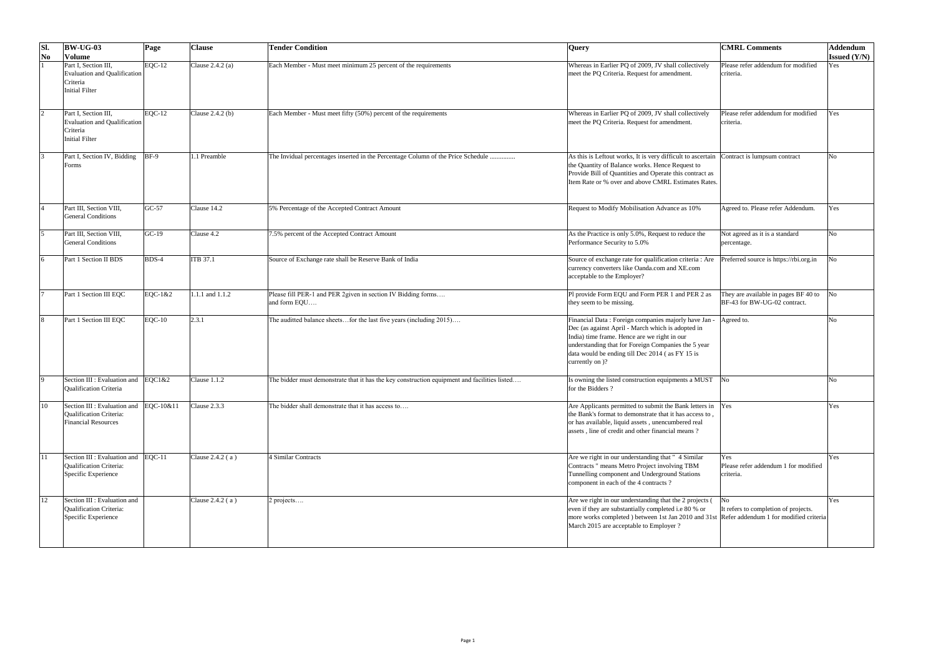

| SI.<br>$\overline{\text{No}}$ | <b>BW-UG-03</b><br><b>Volume</b>                                                             | Page      | <b>Clause</b>      | <b>Tender Condition</b>                                                                      | <b>Query</b>                                                                                                                                                                                                                                                                            | <b>CMRL Comments</b>                                                                             | <b>Addendum</b><br><b>Issued (Y/N</b> |
|-------------------------------|----------------------------------------------------------------------------------------------|-----------|--------------------|----------------------------------------------------------------------------------------------|-----------------------------------------------------------------------------------------------------------------------------------------------------------------------------------------------------------------------------------------------------------------------------------------|--------------------------------------------------------------------------------------------------|---------------------------------------|
|                               | Part I, Section III,<br>Evaluation and Qualification<br>Criteria<br>Initial Filter           | $EQC-12$  | Clause $2.4.2$ (a) | Each Member - Must meet minimum 25 percent of the requirements                               | Whereas in Earlier PQ of 2009, JV shall collectively<br>meet the PQ Criteria. Request for amendment.                                                                                                                                                                                    | Please refer addendum for modified<br>criteria.                                                  | Yes                                   |
|                               | Part I, Section III,<br>Evaluation and Qualification<br>Criteria<br><b>Initial Filter</b>    | $EQC-12$  | Clause $2.4.2$ (b) | Each Member - Must meet fifty (50%) percent of the requirements                              | Whereas in Earlier PQ of 2009, JV shall collectively<br>meet the PQ Criteria. Request for amendment.                                                                                                                                                                                    | Please refer addendum for modified<br>criteria.                                                  | Yes                                   |
|                               | Part I, Section IV, Bidding<br>Forms                                                         | $BF-9$    | 1.1 Preamble       | The Invidual percentages inserted in the Percentage Column of the Price Schedule             | As this is Leftout works, It is very difficult to ascertain Contract is lumpsum contract<br>the Quantity of Balance works. Hence Request to<br>Provide Bill of Quantities and Operate this contract as<br>Item Rate or % over and above CMRL Estimates Rates.                           |                                                                                                  | <b>No</b>                             |
|                               | Part III, Section VIII,<br><b>General Conditions</b>                                         | $GC-57$   | Clause 14.2        | 5% Percentage of the Accepted Contract Amount                                                | Request to Modify Mobilisation Advance as 10%                                                                                                                                                                                                                                           | Agreed to. Please refer Addendum.                                                                | Yes                                   |
|                               | Part III, Section VIII,<br><b>General Conditions</b>                                         | $GC-19$   | Clause 4.2         | 7.5% percent of the Accepted Contract Amount                                                 | As the Practice is only 5.0%, Request to reduce the<br>Performance Security to 5.0%                                                                                                                                                                                                     | Not agreed as it is a standard<br>percentage.                                                    | N <sub>o</sub>                        |
| 6                             | Part 1 Section II BDS                                                                        | BDS-4     | <b>ITB</b> 37.1    | Source of Exchange rate shall be Reserve Bank of India                                       | Source of exchange rate for qualification criteria : Are<br>currency converters like Oanda.com and XE.com<br>acceptable to the Employer?                                                                                                                                                | Preferred source is https://rbi.org.in                                                           |                                       |
|                               | Part 1 Section III EQC                                                                       | $EQC-1&2$ | 1.1.1 and 1.1.2    | Please fill PER-1 and PER 2 given in section IV Bidding forms<br>and form EQU                | Pl provide Form EQU and Form PER 1 and PER 2 as<br>they seem to be missing.                                                                                                                                                                                                             | They are available in pages BF 40 to<br>BF-43 for BW-UG-02 contract.                             |                                       |
| 8                             | Part 1 Section III EQC                                                                       | $EQC-10$  | 2.3.1              | The auditted balance sheetsfor the last five years (including 2015)                          | Financial Data : Foreign companies majorly have Jan -<br>Dec (as against April - March which is adopted in<br>India) time frame. Hence are we right in our<br>understanding that for Foreign Companies the 5 year<br>data would be ending till Dec 2014 (as FY 15 is<br>currently on )? | Agreed to.                                                                                       |                                       |
| <b>Q</b>                      | Section III : Evaluation and<br><b>Qualification Criteria</b>                                | EQC1&2    | Clause 1.1.2       | The bidder must demonstrate that it has the key construction equipment and facilities listed | Is owning the listed construction equipments a MUST<br>for the Bidders?                                                                                                                                                                                                                 | N <sub>o</sub>                                                                                   |                                       |
| <sup>10</sup>                 | Section III : Evaluation and<br><b>Qualification Criteria:</b><br><b>Financial Resources</b> | EQC-10&11 | Clause 2.3.3       | The bidder shall demonstrate that it has access to                                           | Are Applicants permitted to submit the Bank letters in  Yes<br>the Bank's format to demonstrate that it has access to,<br>or has available, liquid assets, unencumbered real<br>assets, line of credit and other financial means?                                                       |                                                                                                  | Yes                                   |
| 11                            | Section III : Evaluation and<br><b>Qualification Criteria:</b><br>Specific Experience        | $EQC-11$  | Clause $2.4.2(a)$  | 4 Similar Contracts                                                                          | Are we right in our understanding that "4 Similar<br>Contracts " means Metro Project involving TBM<br>Tunnelling component and Underground Stations<br>component in each of the 4 contracts?                                                                                            | Yes<br>Please refer addendum 1 for modified<br>criteria.                                         | Yes                                   |
| <sup>12</sup>                 | Section III : Evaluation and<br><b>Qualification Criteria:</b><br>Specific Experience        |           | Clause $2.4.2(a)$  | 2 projects                                                                                   | Are we right in our understanding that the 2 projects (<br>even if they are substantially completed i.e 80 % or<br>more works completed) between 1st Jan 2010 and 31st<br>March 2015 are acceptable to Employer ?                                                                       | N <sub>0</sub><br>It refers to completion of projects.<br>Refer addendum 1 for modified criteria | Yes                                   |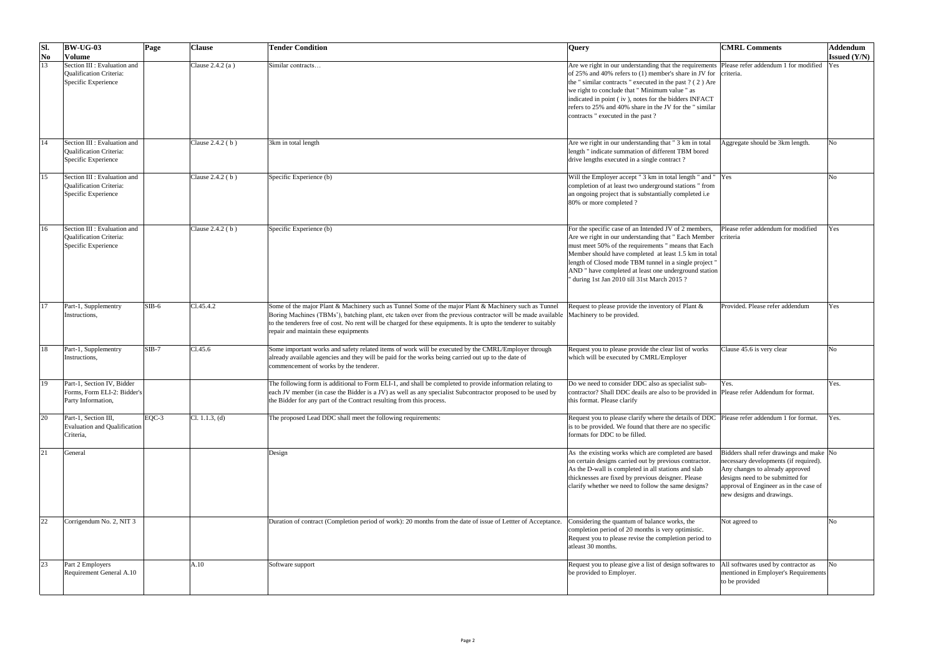

| Sl.<br>$\overline{\text{No}}$ | $\mathbf{BW\text{-}UG\text{-}03}$<br>Volume                                           | Page    | <b>Clause</b>      | <b>Tender Condition</b>                                                                                                                                                                                                                                                                                                                                                                                    | <b>Query</b>                                                                                                                                                                                                                                                                                                                                                                                                                                  | <b>CMRL Comments</b>                                                                                                                                                                                                            | <b>Addendum</b><br><b>Issued (Y/N</b> |
|-------------------------------|---------------------------------------------------------------------------------------|---------|--------------------|------------------------------------------------------------------------------------------------------------------------------------------------------------------------------------------------------------------------------------------------------------------------------------------------------------------------------------------------------------------------------------------------------------|-----------------------------------------------------------------------------------------------------------------------------------------------------------------------------------------------------------------------------------------------------------------------------------------------------------------------------------------------------------------------------------------------------------------------------------------------|---------------------------------------------------------------------------------------------------------------------------------------------------------------------------------------------------------------------------------|---------------------------------------|
| 13                            | Section III : Evaluation and<br><b>Qualification Criteria:</b><br>Specific Experience |         | Clause $2.4.2(a)$  | Similar contracts                                                                                                                                                                                                                                                                                                                                                                                          | Are we right in our understanding that the requirements Please refer addendum 1 for modified  Yes<br>of 25% and 40% refers to (1) member's share in JV for criteria.<br>the " similar contracts " executed in the past $? (2)$ Are<br>we right to conclude that " Minimum value " as<br>indicated in point (iv), notes for the bidders INFACT<br>refers to 25% and 40% share in the JV for the "similar<br>contracts " executed in the past ? |                                                                                                                                                                                                                                 |                                       |
|                               | Section III : Evaluation and<br><b>Qualification Criteria:</b><br>Specific Experience |         | Clause $2.4.2$ (b) | 3km in total length                                                                                                                                                                                                                                                                                                                                                                                        | Are we right in our understanding that "3 km in total<br>length "indicate summation of different TBM bored<br>drive lengths executed in a single contract?                                                                                                                                                                                                                                                                                    | Aggregate should be 3km length.                                                                                                                                                                                                 | N <sub>o</sub>                        |
|                               | Section III : Evaluation and<br><b>Qualification Criteria:</b><br>Specific Experience |         | Clause $2.4.2$ (b) | Specific Experience (b)                                                                                                                                                                                                                                                                                                                                                                                    | Will the Employer accept " 3 km in total length " and "  Yes<br>completion of at least two underground stations " from<br>an ongoing project that is substantially completed i.e<br>80% or more completed ?                                                                                                                                                                                                                                   |                                                                                                                                                                                                                                 | N <sub>0</sub>                        |
| $ 16\rangle$                  | Section III : Evaluation and<br><b>Qualification Criteria:</b><br>Specific Experience |         | Clause $2.4.2$ (b) | Specific Experience (b)                                                                                                                                                                                                                                                                                                                                                                                    | For the specific case of an Intended JV of 2 members,<br>Are we right in our understanding that " Each Member<br>must meet 50% of the requirements " means that Each<br>Member should have completed at least 1.5 km in total<br>length of Closed mode TBM tunnel in a single project "<br>AND " have completed at least one underground station<br>during 1st Jan 2010 till 31st March 2015?                                                 | Please refer addendum for modified<br>criteria                                                                                                                                                                                  | Yes                                   |
| 17                            | Part-1, Supplementry<br>Instructions,                                                 | $SIB-6$ | Cl.45.4.2          | Some of the major Plant & Machinery such as Tunnel Some of the major Plant & Machinery such as Tunnel<br>Boring Machines (TBMs'), batching plant, etc taken over from the previous contractor will be made available Machinery to be provided.<br>to the tenderers free of cost. No rent will be charged for these equipments. It is upto the tenderer to suitably<br>repair and maintain these equipments | Request to please provide the inventory of Plant &                                                                                                                                                                                                                                                                                                                                                                                            | Provided. Please refer addendum                                                                                                                                                                                                 | Yes                                   |
|                               | Part-1, Supplementry<br>Instructions,                                                 | $SIB-7$ | Cl.45.6            | Some important works and safety related items of work will be executed by the CMRL/Employer through<br>already available agencies and they will be paid for the works being carried out up to the date of<br>commencement of works by the tenderer.                                                                                                                                                        | Request you to please provide the clear list of works<br>which will be executed by CMRL/Employer                                                                                                                                                                                                                                                                                                                                              | Clause 45.6 is very clear                                                                                                                                                                                                       | No                                    |
| $ 19\rangle$                  | Part-1, Section IV, Bidder<br>Forms, Form ELI-2: Bidder's<br>Party Information,       |         |                    | The following form is additional to Form ELI-1, and shall be completed to provide information relating to<br>each JV member (in case the Bidder is a JV) as well as any specialist Subcontractor proposed to be used by<br>the Bidder for any part of the Contract resulting from this process.                                                                                                            | Do we need to consider DDC also as specialist sub-<br>contractor? Shall DDC deails are also to be provided in Please refer Addendum for format.<br>this format. Please clarify                                                                                                                                                                                                                                                                | Yes.                                                                                                                                                                                                                            | Yes.                                  |
| 20                            | Part-1, Section III,<br>Evaluation and Qualification<br>Criteria,                     | $EQC-3$ | Cl. 1.1.3, (d)     | The proposed Lead DDC shall meet the following requirements:                                                                                                                                                                                                                                                                                                                                               | Request you to please clarify where the details of DDC<br>is to be provided. We found that there are no specific<br>formats for DDC to be filled.                                                                                                                                                                                                                                                                                             | Please refer addendum 1 for format.                                                                                                                                                                                             | Yes.                                  |
| 21                            | General                                                                               |         |                    | Design                                                                                                                                                                                                                                                                                                                                                                                                     | As the existing works which are completed are based<br>on certain designs carried out by previous contractor.<br>As the D-wall is completed in all stations and slab<br>thicknesses are fixed by previous deisgner. Please<br>clarify whether we need to follow the same designs?                                                                                                                                                             | Bidders shall refer drawings and make No<br>necessary developments (if required).<br>Any changes to already approved<br>designs need to be submitted for<br>approval of Engineer as in the case of<br>new designs and drawings. |                                       |
| 22                            | Corrigendum No. 2, NIT 3                                                              |         |                    | Duration of contract (Completion period of work): 20 months from the date of issue of Lettter of Acceptance.                                                                                                                                                                                                                                                                                               | Considering the quantum of balance works, the<br>completion period of 20 months is very optimistic.<br>Request you to please revise the completion period to<br>atleast 30 months.                                                                                                                                                                                                                                                            | Not agreed to                                                                                                                                                                                                                   |                                       |
|                               | Part 2 Employers<br><b>Requirement General A.10</b>                                   |         | A.10               | Software support                                                                                                                                                                                                                                                                                                                                                                                           | Request you to please give a list of design softwares to<br>be provided to Employer.                                                                                                                                                                                                                                                                                                                                                          | All softwares used by contractor as<br>mentioned in Employer's Requirements<br>to be provided                                                                                                                                   |                                       |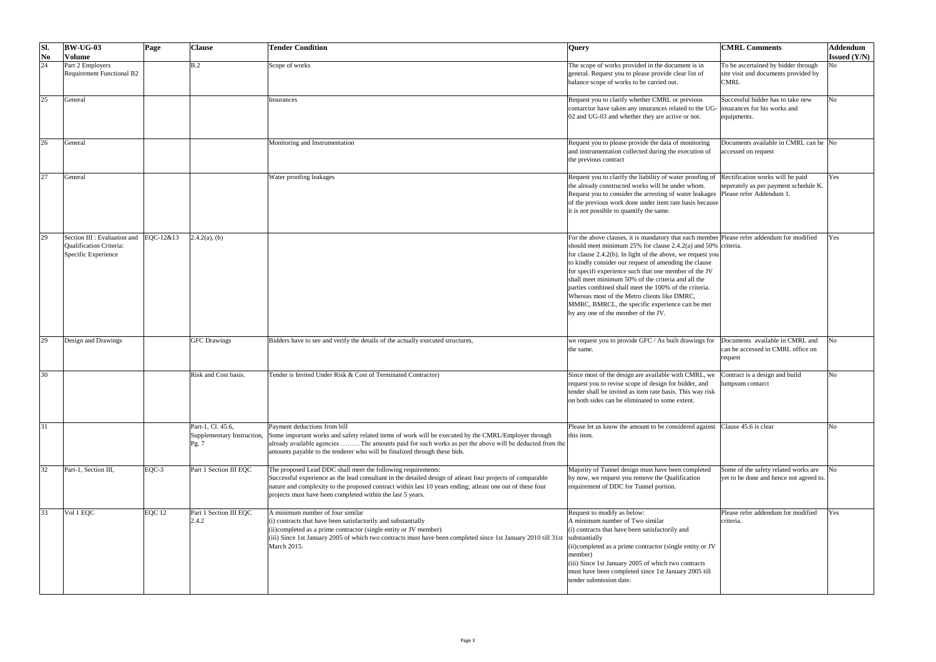

| SI.<br>N <sub>0</sub> | $ BW-UG-03 $<br><b>Volume</b>                                                  | Page      | <b>Clause</b>                                           | <b>Tender Condition</b>                                                                                                                                                                                                                                                                                                                                | <b>Query</b>                                                                                                                                                                                                                                                                                                                                                                                                                                                                                                                                                                                              | <b>CMRL Comments</b>                                                                                  | <b>Addendum</b><br><b>Issued (Y/N</b> |
|-----------------------|--------------------------------------------------------------------------------|-----------|---------------------------------------------------------|--------------------------------------------------------------------------------------------------------------------------------------------------------------------------------------------------------------------------------------------------------------------------------------------------------------------------------------------------------|-----------------------------------------------------------------------------------------------------------------------------------------------------------------------------------------------------------------------------------------------------------------------------------------------------------------------------------------------------------------------------------------------------------------------------------------------------------------------------------------------------------------------------------------------------------------------------------------------------------|-------------------------------------------------------------------------------------------------------|---------------------------------------|
| 24                    | Part 2 Employers<br><b>Requirement Functional B2</b>                           |           | B.2                                                     | Scope of works                                                                                                                                                                                                                                                                                                                                         | The scope of works provided in the document is in<br>general. Request you to please provide clear list of<br>balance scope of works to be carried out.                                                                                                                                                                                                                                                                                                                                                                                                                                                    | To be ascertained by bidder through<br>site visit and documents provided by<br><b>CMRL</b>            |                                       |
| 25                    | General                                                                        |           |                                                         | Insurances                                                                                                                                                                                                                                                                                                                                             | Request you to clarify whether CMRL or previous<br>contarctor have taken any insurances related to the UG-<br>02 and UG-03 and whether they are active or not.                                                                                                                                                                                                                                                                                                                                                                                                                                            | Successful bidder has to take new<br>insurances for his works and<br>equipments.                      | N <sub>0</sub>                        |
| 26                    | General                                                                        |           |                                                         | Monitoring and Instrumentation                                                                                                                                                                                                                                                                                                                         | Request you to please provide the data of monitoring<br>and instrumentation collected during the execution of<br>the previous contract                                                                                                                                                                                                                                                                                                                                                                                                                                                                    | Documents available in CMRL can be No<br>accessed on request                                          |                                       |
| 27                    | General                                                                        |           |                                                         | Water proofing leakages                                                                                                                                                                                                                                                                                                                                | Request you to clarify the liability of water proofing of<br>the already constructed works will be under whom.<br>Request you to consider the arresting of water leakages<br>of the previous work done under item rate basis because<br>it is not possible to quantify the same.                                                                                                                                                                                                                                                                                                                          | Rectification works will be paid<br>seperately as per payment schedule K.<br>Please refer Addendum 1. | Yes                                   |
| 29                    | Section III : Evaluation and<br>Qualification Criteria:<br>Specific Experience | EQC-12&13 | $2.4.2(a)$ , (b)                                        |                                                                                                                                                                                                                                                                                                                                                        | For the above clauses, it is mandatory that each member Please refer addendum for modified<br>should meet minimum 25% for clause $2.4.2(a)$ and 50% criteria.<br>for clause $2.4.2(b)$ . In light of the above, we request you<br>to kindly consider our request of amending the clause<br>for specifi experience such that one member of the JV<br>shall meet minimum 50% of the criteria and all the<br>parties combined shall meet the 100% of the criteria.<br>Whereas most of the Metro clients like DMRC,<br>MMRC, BMRCL, the specific experience can be met<br>by any one of the member of the JV. |                                                                                                       | Yes                                   |
| 29                    | Design and Drawings                                                            |           | <b>GFC</b> Drawings                                     | Bidders have to see and verify the details of the actually executed structures,                                                                                                                                                                                                                                                                        | we request you to provide GFC / As built drawings for Documents available in CMRL and<br>the same.                                                                                                                                                                                                                                                                                                                                                                                                                                                                                                        | can be accessed in CMRL office on<br>request                                                          |                                       |
| 30                    |                                                                                |           | Risk and Cost basis.                                    | Tender is Invited Under Risk & Cost of Terminated Contractor)                                                                                                                                                                                                                                                                                          | Since most of the design are available with CMRL, we Contract is a design and build<br>request you to revise scope of design for bidder, and<br>tender shall be invited as item rate basis. This way risk<br>on both sides can be eliminated to some extent.                                                                                                                                                                                                                                                                                                                                              | lumpsum contarct                                                                                      | <b>No</b>                             |
| 31                    |                                                                                |           | Part-1, Cl. 45.6,<br>Supplementary Instruction,<br>Pg.7 | Payment deductions from bill<br>Some important works and safety related items of work will be executed by the CMRL/Employer through<br>already available agencies The amounts paid for such works as per the above will be deducted from the<br>amounts payable to the tenderer who will be finalized through these bids.                              | Please let us know the amount to be considered against Clause 45.6 is clear<br>this item.                                                                                                                                                                                                                                                                                                                                                                                                                                                                                                                 |                                                                                                       |                                       |
| 132                   | Part-1, Section III,                                                           | $EQC-3$   | Part 1 Section III EQC                                  | The proposed Lead DDC shall meet the following requirements:<br>Successful experience as the lead consultant in the detailed design of atleast four projects of comparable<br>nature and complexity to the proposed contract within last 10 years ending; at least one out of these four<br>projects must have been completed within the last 5 years. | Majority of Tunnel design must have been completed Some of the safety related works are<br>by now, we request you remove the Qualification<br>requirement of DDC for Tunnel portion.                                                                                                                                                                                                                                                                                                                                                                                                                      | yet to be done and hence not agreed to.                                                               |                                       |
| 33                    | Vol 1 EQC                                                                      | EQC 12    | Part 1 Section III EQC<br>2.4.2                         | A minimum number of four similar<br>(i) contracts that have been satisfactorily and substantially<br>(ii)completed as a prime contractor (single entity or JV member)<br>(iii) Since 1st January 2005 of which two contracts must have been completed since 1st January 2010 till 31st substantially<br><b>March 2015.</b>                             | Request to modify as below:<br>A minimum number of Two similar<br>(i) contracts that have been satisfactorily and<br>(ii)completed as a prime contractor (single entity or JV<br>member)<br>$(iii)$ Since 1st January 2005 of which two contracts<br>must have been completed since 1st January 2005 till<br>tender submission date.                                                                                                                                                                                                                                                                      | Please refer addendum for modified<br>criteria.                                                       | Yes                                   |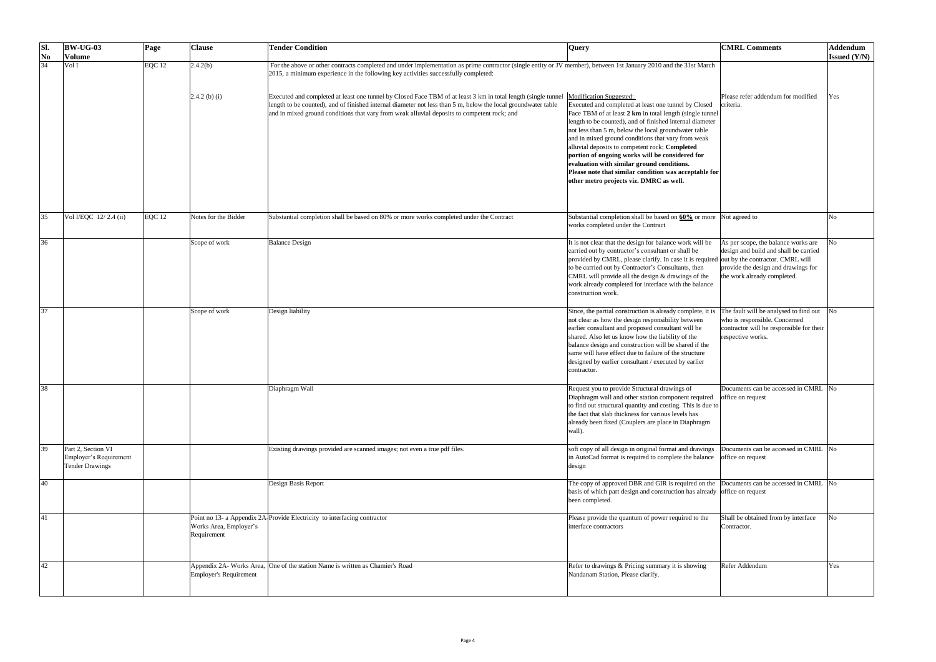

| SI.<br>N <sub>o</sub> | $\vert$ BW-UG-03<br>Volume                                             | Page          | <b>Clause</b>                         | <b>Tender Condition</b>                                                                                                                                                                                                                                                                                                                               | <b>Query</b>                                                                                                                                                                                                                                                                                                                                                                                                                                                                                                                                       | <b>CMRL Comments</b>                                                                                                                               | <b>Addendum</b><br><b>Issued (Y/N</b> |
|-----------------------|------------------------------------------------------------------------|---------------|---------------------------------------|-------------------------------------------------------------------------------------------------------------------------------------------------------------------------------------------------------------------------------------------------------------------------------------------------------------------------------------------------------|----------------------------------------------------------------------------------------------------------------------------------------------------------------------------------------------------------------------------------------------------------------------------------------------------------------------------------------------------------------------------------------------------------------------------------------------------------------------------------------------------------------------------------------------------|----------------------------------------------------------------------------------------------------------------------------------------------------|---------------------------------------|
| 34                    | Vol I                                                                  | <b>EQC 12</b> | 2.4.2(b)                              | For the above or other contracts completed and under implementation as prime contractor (single entity or JV member), between 1st January 2010 and the 31st March<br>2015, a minimum experience in the following key activities successfully completed:                                                                                               |                                                                                                                                                                                                                                                                                                                                                                                                                                                                                                                                                    |                                                                                                                                                    |                                       |
|                       |                                                                        |               | $2.4.2$ (b) (i)                       | Executed and completed at least one tunnel by Closed Face TBM of at least 3 km in total length (single tunnel Modification Suggested:<br>length to be counted), and of finished internal diameter not less than 5 m, below the local groundwater table<br>and in mixed ground conditions that vary from weak alluvial deposits to competent rock; and | Executed and completed at least one tunnel by Closed<br>Face TBM of at least 2 km in total length (single tunnel)<br>length to be counted), and of finished internal diameter<br>not less than 5 m, below the local groundwater table<br>and in mixed ground conditions that vary from weak<br>alluvial deposits to competent rock; Completed<br>portion of ongoing works will be considered for<br>evaluation with similar ground conditions.<br>Please note that similar condition was acceptable for<br>other metro projects viz. DMRC as well. | Please refer addendum for modified<br>criteria.                                                                                                    | Yes                                   |
| 35                    | $Vol$ I/EQC $12/2.4$ (ii)                                              | <b>EQC 12</b> | Notes for the Bidder                  | Substantial completion shall be based on 80% or more works completed under the Contract                                                                                                                                                                                                                                                               | Substantial completion shall be based on $60\%$ or more Not agreed to<br>works completed under the Contract                                                                                                                                                                                                                                                                                                                                                                                                                                        |                                                                                                                                                    | N <sub>0</sub>                        |
| 36                    |                                                                        |               | Scope of work                         | <b>Balance Design</b>                                                                                                                                                                                                                                                                                                                                 | It is not clear that the design for balance work will be<br>carried out by contractor's consultant or shall be<br>provided by CMRL, please clarify. In case it is required out by the contractor. CMRL will<br>to be carried out by Contractor's Consultants, then<br>CMRL will provide all the design & drawings of the<br>work already completed for interface with the balance<br>construction work.                                                                                                                                            | As per scope, the balance works are<br>design and build and shall be carried<br>provide the design and drawings for<br>the work already completed. |                                       |
| 37                    |                                                                        |               | Scope of work                         | Design liability                                                                                                                                                                                                                                                                                                                                      | Since, the partial construction is already complete, it is<br>not clear as how the design responsibility between<br>earlier consultant and proposed consultant will be<br>shared. Also let us know how the liability of the<br>balance design and construction will be shared if the<br>same will have effect due to failure of the structure<br>designed by earlier consultant / executed by earlier<br>contractor.                                                                                                                               | The fault will be analysed to find out<br>who is responsible. Concerned<br>contractor will be responsible for their<br>respective works.           |                                       |
| 38                    |                                                                        |               |                                       | Diaphragm Wall                                                                                                                                                                                                                                                                                                                                        | Request you to provide Structural drawings of<br>Diaphragm wall and other station component required<br>to find out structural quantity and costing. This is due to<br>the fact that slab thickness for various levels has<br>already been fixed (Couplers are place in Diaphragm<br>wall).                                                                                                                                                                                                                                                        | Documents can be accessed in CMRL No<br>office on request                                                                                          |                                       |
| 39                    | Part 2, Section VI<br>Employer's Requirement<br><b>Tender Drawings</b> |               |                                       | Existing drawings provided are scanned images; not even a true pdf files.                                                                                                                                                                                                                                                                             | soft copy of all design in original format and drawings<br>in AutoCad format is required to complete the balance<br>design                                                                                                                                                                                                                                                                                                                                                                                                                         | Documents can be accessed in CMRL  No<br>office on request                                                                                         |                                       |
| 40                    |                                                                        |               |                                       | Design Basis Report                                                                                                                                                                                                                                                                                                                                   | The copy of approved DBR and GIR is required on the Documents can be accessed in CMRL No<br>basis of which part design and construction has already office on request<br>been completed.                                                                                                                                                                                                                                                                                                                                                           |                                                                                                                                                    |                                       |
| 41                    |                                                                        |               | Works Area, Employer's<br>Requirement | Point no 13- a Appendix 2A Provide Electricity to interfacing contractor                                                                                                                                                                                                                                                                              | Please provide the quantum of power required to the<br>interface contractors                                                                                                                                                                                                                                                                                                                                                                                                                                                                       | Shall be obtained from by interface<br>Contractor.                                                                                                 |                                       |
| 42                    |                                                                        |               | Employer's Requirement                | Appendix 2A- Works Area, One of the station Name is written as Chamier's Road                                                                                                                                                                                                                                                                         | Refer to drawings & Pricing summary it is showing<br>Nandanam Station, Please clarify.                                                                                                                                                                                                                                                                                                                                                                                                                                                             | Refer Addendum                                                                                                                                     | Yes                                   |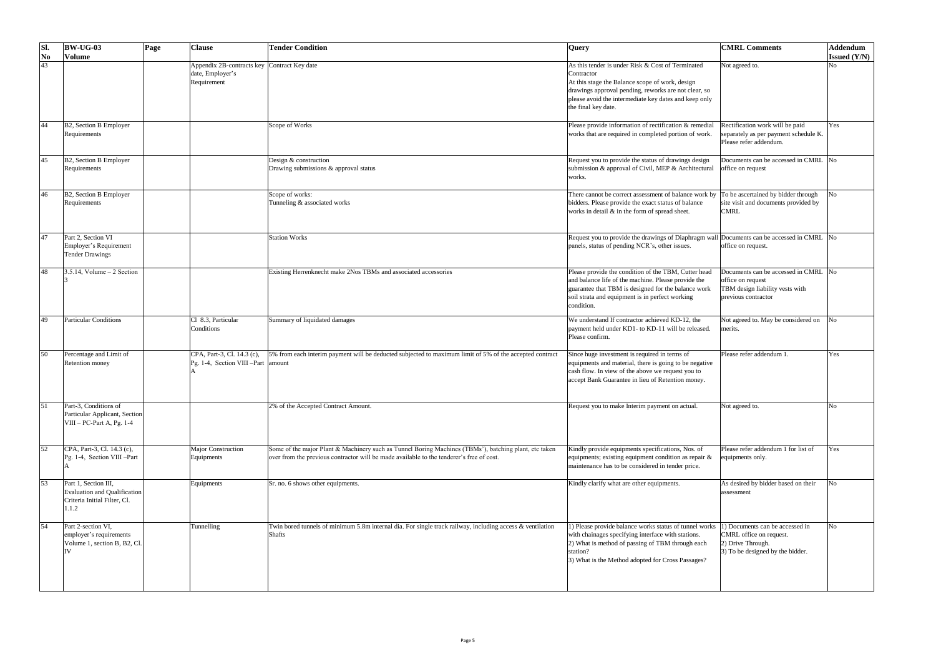

| Sl.<br>N <sub>o</sub> | $BW-UG-03$<br><b>Volume</b>                                                                   | Page | <b>Clause</b>                                                     | <b>Tender Condition</b>                                                                                                                                                                           | <b>Query</b>                                                                                                                                                                                                                                               | <b>CMRL Comments</b>                                                                                                | <b>Addendum</b><br><b>Issued (Y/N</b> |
|-----------------------|-----------------------------------------------------------------------------------------------|------|-------------------------------------------------------------------|---------------------------------------------------------------------------------------------------------------------------------------------------------------------------------------------------|------------------------------------------------------------------------------------------------------------------------------------------------------------------------------------------------------------------------------------------------------------|---------------------------------------------------------------------------------------------------------------------|---------------------------------------|
| 43                    |                                                                                               |      | Appendix 2B-contracts key<br>date, Employer's<br>Requirement      | Contract Key date                                                                                                                                                                                 | As this tender is under Risk & Cost of Terminated<br>Contractor<br>At this stage the Balance scope of work, design<br>drawings approval pending, reworks are not clear, so<br>please avoid the intermediate key dates and keep only<br>the final key date. | Not agreed to.                                                                                                      | No                                    |
| 44                    | B2, Section B Employer<br>Requirements                                                        |      |                                                                   | Scope of Works                                                                                                                                                                                    | Please provide information of rectification & remedial<br>works that are required in completed portion of work.                                                                                                                                            | Rectification work will be paid<br>separately as per payment schedule K.<br>Please refer addendum.                  | Yes                                   |
| 45                    | B2, Section B Employer<br>Requirements                                                        |      |                                                                   | Design & construction<br>Drawing submissions & approval status                                                                                                                                    | Request you to provide the status of drawings design<br>submission & approval of Civil, MEP & Architectural<br>works.                                                                                                                                      | Documents can be accessed in CMRL No<br>office on request                                                           |                                       |
| 46                    | B2, Section B Employer<br>Requirements                                                        |      |                                                                   | Scope of works:<br>Tunneling & associated works                                                                                                                                                   | There cannot be correct assessment of balance work by<br>bidders. Please provide the exact status of balance<br>works in detail $\&$ in the form of spread sheet.                                                                                          | To be ascertained by bidder through<br>site visit and documents provided by<br><b>CMRL</b>                          | N <sub>o</sub>                        |
| 47                    | Part 2, Section VI<br>Employer's Requirement<br><b>Tender Drawings</b>                        |      |                                                                   | <b>Station Works</b>                                                                                                                                                                              | Request you to provide the drawings of Diaphragm wall Documents can be accessed in CMRL No<br>panels, status of pending NCR's, other issues.                                                                                                               | office on request.                                                                                                  |                                       |
| 48                    | $3.5.14$ , Volume $-2$ Section                                                                |      |                                                                   | Existing Herrenknecht make 2Nos TBMs and associated accessories                                                                                                                                   | Please provide the condition of the TBM, Cutter head<br>and balance life of the machine. Please provide the<br>guarantee that TBM is designed for the balance work<br>soil strata and equipment is in perfect working<br>condition.                        | Documents can be accessed in CMRL No<br>office on request<br>TBM design liability vests with<br>previous contractor |                                       |
| 49                    | <b>Particular Conditions</b>                                                                  |      | Cl 8.3, Particular<br>Conditions                                  | Summary of liquidated damages                                                                                                                                                                     | We understand If contractor achieved KD-12, the<br>payment held under KD1- to KD-11 will be released.<br>Please confirm.                                                                                                                                   | Not agreed to. May be considered on<br>merits.                                                                      |                                       |
| 50                    | Percentage and Limit of<br><b>Retention money</b>                                             |      | CPA, Part-3, Cl. 14.3 (c),<br>Pg. 1-4, Section VIII - Part amount | 5% from each interim payment will be deducted subjected to maximum limit of 5% of the accepted contract                                                                                           | Since huge investment is required in terms of<br>equipments and material, there is going to be negative<br>cash flow. In view of the above we request you to<br>accept Bank Guarantee in lieu of Retention money.                                          | Please refer addendum 1.                                                                                            | Yes                                   |
| 51                    | Part-3, Conditions of<br>Particular Applicant, Section<br>VIII – PC-Part A, Pg. 1-4           |      |                                                                   | 2% of the Accepted Contract Amount.                                                                                                                                                               | Request you to make Interim payment on actual.                                                                                                                                                                                                             | Not agreed to.                                                                                                      | N <sub>0</sub>                        |
| 52                    | CPA, Part-3, Cl. 14.3 (c),<br>Pg. 1-4, Section VIII - Part                                    |      | <b>Major Construction</b><br>Equipments                           | Some of the major Plant & Machinery such as Tunnel Boring Machines (TBMs'), batching plant, etc taken<br>over from the previous contractor will be made available to the tenderer's free of cost. | Kindly provide equipments specifications, Nos. of<br>equipments; existing equipment condition as repair $\&$<br>maintenance has to be considered in tender price.                                                                                          | Please refer addendum 1 for list of<br>equipments only.                                                             | Yes                                   |
| 53                    | Part 1, Section III,<br>Evaluation and Qualification<br>Criteria Initial Filter, Cl.<br>1.1.2 |      | Equipments                                                        | Sr. no. 6 shows other equipments.                                                                                                                                                                 | Kindly clarify what are other equipments.                                                                                                                                                                                                                  | As desired by bidder based on their<br>assessment                                                                   | N <sub>0</sub>                        |
| 54                    | Part 2-section VI,<br>employer's requirements<br>Volume 1, section B, B2, Cl.                 |      | Tunnelling                                                        | Twin bored tunnels of minimum 5.8m internal dia. For single track railway, including access & ventilation<br><b>Shafts</b>                                                                        | 1) Please provide balance works status of tunnel works<br>with chainages specifying interface with stations.<br>2) What is method of passing of TBM through each<br>station?<br>3) What is the Method adopted for Cross Passages?                          | 1) Documents can be accessed in<br>CMRL office on request.<br>2) Drive Through.<br>3) To be designed by the bidder. | No                                    |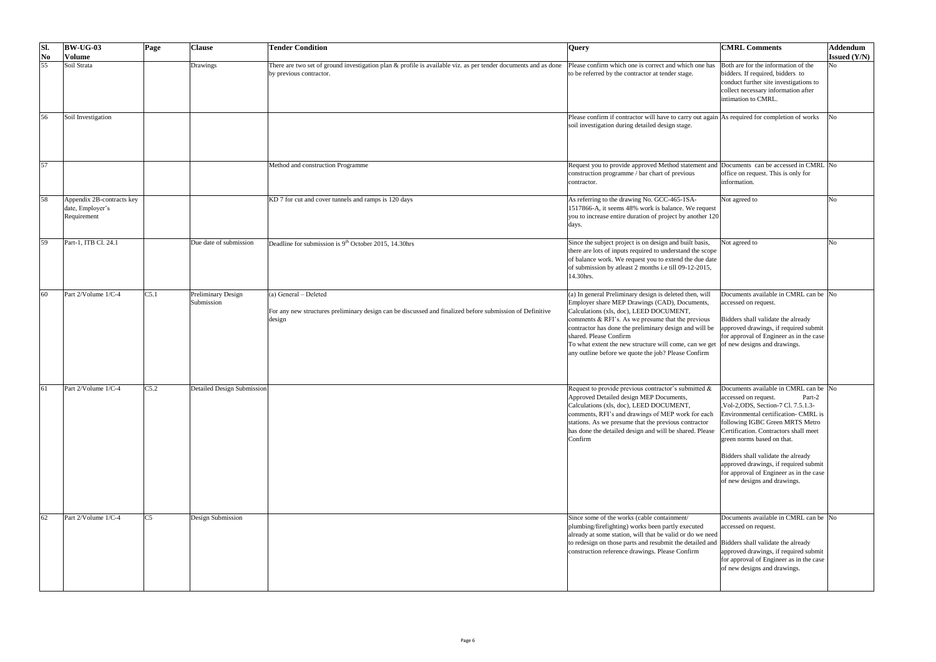

| SI.<br>$\overline{\textbf{N}}$ o | <b>BW-UG-03</b><br><b>Volume</b>                             | Page            | <b>Clause</b>                           | <b>Tender Condition</b>                                                                                                                       | <b>Query</b>                                                                                                                                                                                                                                                                                                                                                                                                                               | <b>CMRL Comments</b>                                                                                                                                                                                                                                                                                                                                                                                                      | <b>Addendum</b><br><b>Issued (Y/N</b> |
|----------------------------------|--------------------------------------------------------------|-----------------|-----------------------------------------|-----------------------------------------------------------------------------------------------------------------------------------------------|--------------------------------------------------------------------------------------------------------------------------------------------------------------------------------------------------------------------------------------------------------------------------------------------------------------------------------------------------------------------------------------------------------------------------------------------|---------------------------------------------------------------------------------------------------------------------------------------------------------------------------------------------------------------------------------------------------------------------------------------------------------------------------------------------------------------------------------------------------------------------------|---------------------------------------|
| 55                               | Soil Strata                                                  |                 | Drawings                                | There are two set of ground investigation plan & profile is available viz. as per tender documents and as done<br>by previous contractor.     | Please confirm which one is correct and which one has<br>to be referred by the contractor at tender stage.                                                                                                                                                                                                                                                                                                                                 | Both are for the information of the<br>bidders. If required, bidders to<br>conduct further site investigations to<br>collect necessary information after<br>intimation to CMRL.                                                                                                                                                                                                                                           |                                       |
| 56                               | Soil Investigation                                           |                 |                                         |                                                                                                                                               | Please confirm if contractor will have to carry out again As required for completion of works<br>soil investigation during detailed design stage.                                                                                                                                                                                                                                                                                          |                                                                                                                                                                                                                                                                                                                                                                                                                           |                                       |
| 57                               |                                                              |                 |                                         | Method and construction Programme                                                                                                             | Request you to provide approved Method statement and<br>construction programme / bar chart of previous<br>contractor.                                                                                                                                                                                                                                                                                                                      | Documents can be accessed in CMRL No<br>office on request. This is only for<br>information.                                                                                                                                                                                                                                                                                                                               |                                       |
| 58                               | Appendix 2B-contracts key<br>date, Employer's<br>Requirement |                 |                                         | KD 7 for cut and cover tunnels and ramps is 120 days                                                                                          | As referring to the drawing No. GCC-465-1SA-<br>1517866-A, it seems 48% work is balance. We request<br>you to increase entire duration of project by another 120<br>days.                                                                                                                                                                                                                                                                  | Not agreed to                                                                                                                                                                                                                                                                                                                                                                                                             | N <sub>o</sub>                        |
| 59                               | Part-1, ITB Cl. 24.1                                         |                 | Due date of submission                  | Deadline for submission is $9th$ October 2015, 14.30hrs                                                                                       | Since the subject project is on design and built basis,<br>there are lots of inputs required to understand the scope<br>of balance work. We request you to extend the due date<br>of submission by at least 2 months i.e till 09-12-2015,<br>14.30hrs.                                                                                                                                                                                     | Not agreed to                                                                                                                                                                                                                                                                                                                                                                                                             | No                                    |
| 60                               | Part $2$ /Volume $1/C-4$                                     | $\mathbb{C}5.1$ | <b>Preliminary Design</b><br>Submission | $(a)$ General – Deleted<br>For any new structures preliminary design can be discussed and finalized before submission of Definitive<br>design | (a) In general Preliminary design is deleted then, will<br>Employer share MEP Drawings (CAD), Documents,<br>Calculations (xls, doc), LEED DOCUMENT,<br>comments & RFI's. As we presume that the previous<br>contractor has done the preliminary design and will be<br>shared. Please Confirm<br>To what extent the new structure will come, can we get of new designs and drawings.<br>any outline before we quote the job? Please Confirm | Documents available in CMRL can be No<br>accessed on request.<br>Bidders shall validate the already<br>approved drawings, if required submit<br>for approval of Engineer as in the case                                                                                                                                                                                                                                   |                                       |
| 61                               | Part $2$ /Volume $1/C-4$                                     | C5.2            | Detailed Design Submission              |                                                                                                                                               | Request to provide previous contractor's submitted $\&$<br>Approved Detailed design MEP Documents,<br>Calculations (xls, doc), LEED DOCUMENT,<br>comments, RFI's and drawings of MEP work for each<br>stations. As we presume that the previous contractor<br>has done the detailed design and will be shared. Please<br>Confirm                                                                                                           | Documents available in CMRL can be No<br>Part-2<br>accessed on request.<br>Vol-2, ODS, Section-7 Cl. 7.5.1.3-<br>Environmental certification- CMRL is<br>following IGBC Green MRTS Metro<br>Certification. Contractors shall meet<br>green norms based on that.<br>Bidders shall validate the already<br>approved drawings, if required submit<br>for approval of Engineer as in the case<br>of new designs and drawings. |                                       |
| 62                               | Part 2/Volume 1/C-4                                          | C <sub>5</sub>  | Design Submission                       |                                                                                                                                               | Since some of the works (cable containment/<br>plumbing/firefighting) works been partly executed<br>already at some station, will that be valid or do we need<br>to redesign on those parts and resubmit the detailed and Bidders shall validate the already<br>construction reference drawings. Please Confirm                                                                                                                            | Documents available in CMRL can be No<br>accessed on request.<br>approved drawings, if required submit<br>for approval of Engineer as in the case<br>of new designs and drawings.                                                                                                                                                                                                                                         |                                       |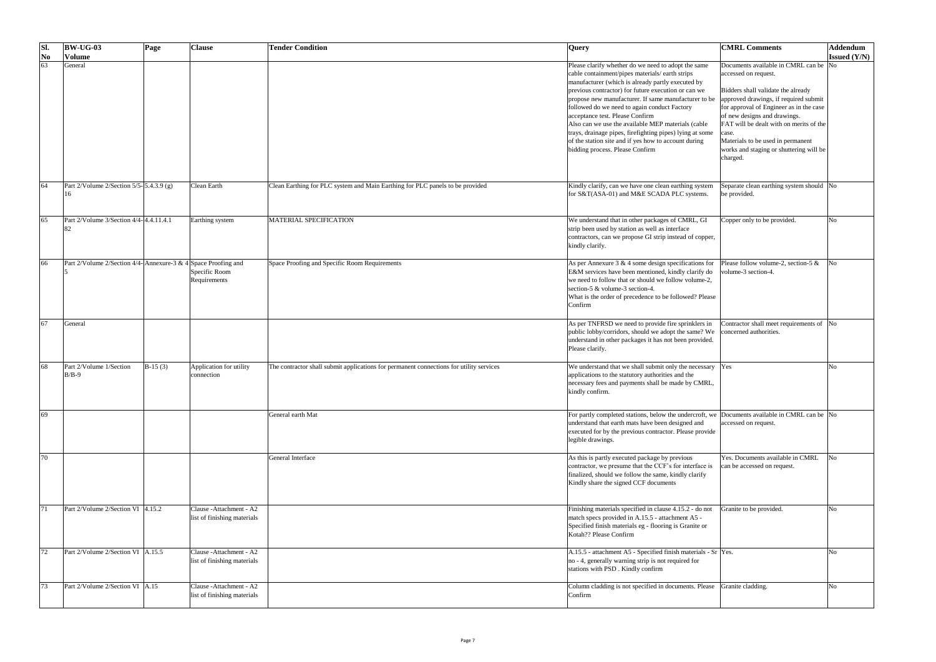

| SI.<br>$\overline{\text{No}}$ | $ BW-UG-03 $<br>Volume                       | Page                                                                   | <b>Clause</b>                                           | <b>Tender Condition</b>                                                                 | <b>Query</b>                                                                                                                                                                                                                                                                                                                                                                                                                                                                                                                                                              | <b>CMRL Comments</b>                                                                                                                                                                                                                                                                                                                                                    | <b>Addendum</b><br><b>Issued (Y/N</b> |
|-------------------------------|----------------------------------------------|------------------------------------------------------------------------|---------------------------------------------------------|-----------------------------------------------------------------------------------------|---------------------------------------------------------------------------------------------------------------------------------------------------------------------------------------------------------------------------------------------------------------------------------------------------------------------------------------------------------------------------------------------------------------------------------------------------------------------------------------------------------------------------------------------------------------------------|-------------------------------------------------------------------------------------------------------------------------------------------------------------------------------------------------------------------------------------------------------------------------------------------------------------------------------------------------------------------------|---------------------------------------|
| 63                            | General                                      |                                                                        |                                                         |                                                                                         | Please clarify whether do we need to adopt the same<br>cable containment/pipes materials/earth strips<br>manufacturer (which is already partly executed by<br>previous contractor) for future execution or can we<br>propose new manufacturer. If same manufacturer to be<br>followed do we need to again conduct Factory<br>acceptance test. Please Confirm<br>Also can we use the available MEP materials (cable<br>trays, drainage pipes, firefighting pipes) lying at some<br>of the station site and if yes how to account during<br>bidding process. Please Confirm | Documents available in CMRL can be No<br>accessed on request.<br>Bidders shall validate the already<br>approved drawings, if required submit<br>for approval of Engineer as in the case<br>of new designs and drawings.<br>FAT will be dealt with on merits of the<br>case.<br>Materials to be used in permanent<br>works and staging or shuttering will be<br>charged. |                                       |
| 64                            | Part 2/Volume 2/Section 5/5- $5.4.3.9$ (g)   |                                                                        | Clean Earth                                             | Clean Earthing for PLC system and Main Earthing for PLC panels to be provided           | Kindly clarify, can we have one clean earthing system<br>for S&T(ASA-01) and M&E SCADA PLC systems.                                                                                                                                                                                                                                                                                                                                                                                                                                                                       | Separate clean earthing system should No<br>be provided.                                                                                                                                                                                                                                                                                                                |                                       |
| 65                            | Part 2/Volume 3/Section 4/4-4.4.11.4.1<br>82 |                                                                        | Earthing system                                         | MATERIAL SPECIFICATION                                                                  | We understand that in other packages of CMRL, GI<br>strip been used by station as well as interface<br>contractors, can we propose GI strip instead of copper,<br>kindly clarify.                                                                                                                                                                                                                                                                                                                                                                                         | Copper only to be provided.                                                                                                                                                                                                                                                                                                                                             | N <sub>o</sub>                        |
| 66                            |                                              | Part 2/Volume 2/Section 4/4- $ $ Annexure-3 & 4 $ $ Space Proofing and | Specific Room<br>Requirements                           | Space Proofing and Specific Room Requirements                                           | As per Annexure $3 \& 4$ some design specifications for<br>E&M services have been mentioned, kindly clarify do<br>we need to follow that or should we follow volume-2,<br>section-5 & volume-3 section-4.<br>What is the order of precedence to be followed? Please<br>Confirm                                                                                                                                                                                                                                                                                            | Please follow volume-2, section-5 $\&$<br>volume-3 section-4.                                                                                                                                                                                                                                                                                                           |                                       |
| 67                            | General                                      |                                                                        |                                                         |                                                                                         | As per TNFRSD we need to provide fire sprinklers in<br>public lobby/corridors, should we adopt the same? We<br>understand in other packages it has not been provided.<br>Please clarify.                                                                                                                                                                                                                                                                                                                                                                                  | Contractor shall meet requirements of No<br>concerned authorities.                                                                                                                                                                                                                                                                                                      |                                       |
| 68                            | Part 2/Volume 1/Section<br>$B/B-9$           | $B-15(3)$                                                              | Application for utility<br>connection                   | The contractor shall submit applications for permanent connections for utility services | We understand that we shall submit only the necessary Yes<br>applications to the statutory authorities and the<br>necessary fees and payments shall be made by CMRL,<br>kindly confirm.                                                                                                                                                                                                                                                                                                                                                                                   |                                                                                                                                                                                                                                                                                                                                                                         |                                       |
| 69                            |                                              |                                                                        |                                                         | General earth Mat                                                                       | For partly completed stations, below the undercroft, we Documents available in CMRL can be No<br>understand that earth mats have been designed and<br>executed for by the previous contractor. Please provide<br>legible drawings.                                                                                                                                                                                                                                                                                                                                        | accessed on request.                                                                                                                                                                                                                                                                                                                                                    |                                       |
| 70                            |                                              |                                                                        |                                                         | General Interface                                                                       | As this is partly executed package by previous<br>contractor, we presume that the CCF's for interface is<br>finalized, should we follow the same, kindly clarify<br>Kindly share the signed CCF documents                                                                                                                                                                                                                                                                                                                                                                 | Yes. Documents available in CMRL<br>can be accessed on request.                                                                                                                                                                                                                                                                                                         |                                       |
| 71                            | Part 2/Volume 2/Section VI $ 4.15.2\rangle$  |                                                                        | Clause - Attachment - A2<br>list of finishing materials |                                                                                         | Finishing materials specified in clause 4.15.2 - do not<br>match specs provided in A.15.5 - attachment A5 -<br>Specified finish materials eg - flooring is Granite or<br>Kotah?? Please Confirm                                                                                                                                                                                                                                                                                                                                                                           | Granite to be provided.                                                                                                                                                                                                                                                                                                                                                 |                                       |
| 72                            | Part 2/Volume 2/Section VI $\vert$ A.15.5    |                                                                        | Clause - Attachment - A2<br>list of finishing materials |                                                                                         | A.15.5 - attachment A5 - Specified finish materials - Sr $\text{Yes.}$<br>no - 4, generally warning strip is not required for<br>stations with PSD. Kindly confirm                                                                                                                                                                                                                                                                                                                                                                                                        |                                                                                                                                                                                                                                                                                                                                                                         | No                                    |
| 73                            | Part 2/Volume 2/Section VI $ A.15 $          |                                                                        | Clause - Attachment - A2<br>list of finishing materials |                                                                                         | Column cladding is not specified in documents. Please Granite cladding.<br>Confirm                                                                                                                                                                                                                                                                                                                                                                                                                                                                                        |                                                                                                                                                                                                                                                                                                                                                                         | N <sub>o</sub>                        |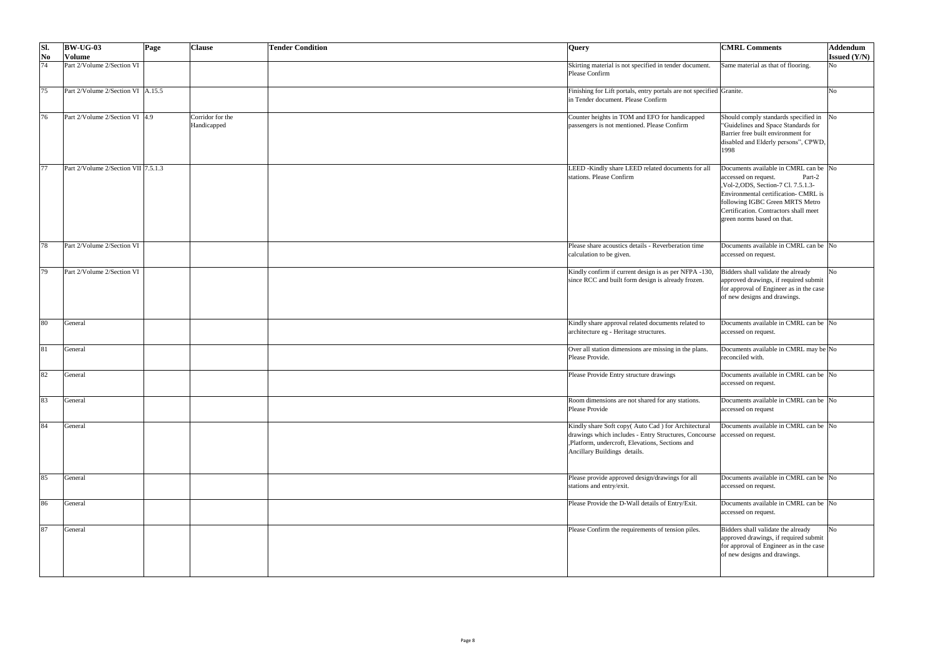| SI.<br>$\overline{\text{No}}$ | $BW-UG-03$<br><b>Volume</b>                     | Page<br><b>Clause</b>           | <b>Tender Condition</b> | <b>Query</b>                                                                                                                                                                                                           | <b>CMRL Comments</b>                                                                                                                                                                                                                                              | Addendum<br><b>Issued</b> (Y/N) |
|-------------------------------|-------------------------------------------------|---------------------------------|-------------------------|------------------------------------------------------------------------------------------------------------------------------------------------------------------------------------------------------------------------|-------------------------------------------------------------------------------------------------------------------------------------------------------------------------------------------------------------------------------------------------------------------|---------------------------------|
| 74                            | Part 2/Volume 2/Section VI                      |                                 |                         | Skirting material is not specified in tender document.<br>Please Confirm                                                                                                                                               | Same material as that of flooring.                                                                                                                                                                                                                                | N <sub>o</sub>                  |
| 75                            | Part $2$ /Volume $2$ /Section VI $\vert$ A.15.5 |                                 |                         | Finishing for Lift portals, entry portals are not specified Granite.<br>in Tender document. Please Confirm                                                                                                             |                                                                                                                                                                                                                                                                   | N <sub>o</sub>                  |
| 76                            | Part $2$ /Volume $2$ /Section VI $ 4.9 $        | Corridor for the<br>Handicapped |                         | Counter heights in TOM and EFO for handicapped<br>passengers is not mentioned. Please Confirm                                                                                                                          | Should comply standards specified in No<br>"Guidelines and Space Standards for<br>Barrier free built environment for<br>disabled and Elderly persons", CPWD,<br>1998                                                                                              |                                 |
| 77                            | Part 2/Volume 2/Section VII 7.5.1.3             |                                 |                         | LEED -Kindly share LEED related documents for all<br>stations. Please Confirm                                                                                                                                          | Documents available in CMRL can be No<br>Part-2<br>accessed on request.<br>, Vol-2, ODS, Section-7 Cl. 7.5.1.3-<br>Environmental certification- CMRL is<br>following IGBC Green MRTS Metro<br>Certification. Contractors shall meet<br>green norms based on that. |                                 |
| 78                            | Part 2/Volume 2/Section VI                      |                                 |                         | Please share acoustics details - Reverberation time<br>calculation to be given.                                                                                                                                        | Documents available in CMRL can be No<br>accessed on request.                                                                                                                                                                                                     |                                 |
| 79                            | Part 2/Volume 2/Section VI                      |                                 |                         | Kindly confirm if current design is as per NFPA -130,<br>since RCC and built form design is already frozen.                                                                                                            | Bidders shall validate the already<br>approved drawings, if required submit<br>for approval of Engineer as in the case<br>of new designs and drawings.                                                                                                            | <b>No</b>                       |
| 80                            | General                                         |                                 |                         | Kindly share approval related documents related to<br>architecture eg - Heritage structures.                                                                                                                           | Documents available in CMRL can be No<br>accessed on request.                                                                                                                                                                                                     |                                 |
| 81                            | General                                         |                                 |                         | Over all station dimensions are missing in the plans.<br>Please Provide.                                                                                                                                               | Documents available in CMRL may be No<br>reconciled with.                                                                                                                                                                                                         |                                 |
| 82                            | General                                         |                                 |                         | Please Provide Entry structure drawings                                                                                                                                                                                | Documents available in CMRL can be No<br>accessed on request.                                                                                                                                                                                                     |                                 |
| 83                            | General                                         |                                 |                         | Room dimensions are not shared for any stations.<br>Please Provide                                                                                                                                                     | Documents available in CMRL can be No<br>accessed on request                                                                                                                                                                                                      |                                 |
| 84                            | General                                         |                                 |                         | Kindly share Soft copy (Auto Cad ) for Architectural<br>drawings which includes - Entry Structures, Concourse accessed on request.<br>, Platform, undercroft, Elevations, Sections and<br>Ancillary Buildings details. | Documents available in CMRL can be No                                                                                                                                                                                                                             |                                 |
| 85                            | General                                         |                                 |                         | Please provide approved design/drawings for all<br>stations and entry/exit.                                                                                                                                            | Documents available in CMRL can be  No<br>accessed on request.                                                                                                                                                                                                    |                                 |
| 86                            | General                                         |                                 |                         | Please Provide the D-Wall details of Entry/Exit.                                                                                                                                                                       | Documents available in CMRL can be No<br>accessed on request.                                                                                                                                                                                                     |                                 |
| 87                            | General                                         |                                 |                         | Please Confirm the requirements of tension piles.                                                                                                                                                                      | Bidders shall validate the already<br>approved drawings, if required submit<br>for approval of Engineer as in the case<br>of new designs and drawings.                                                                                                            | <b>No</b>                       |

| lu<br>$\overline{\mathbf{m}}$<br>$\frac{7}{N}$<br>$\overline{\mathcal{L}}$ |  |
|----------------------------------------------------------------------------|--|
|                                                                            |  |
|                                                                            |  |
|                                                                            |  |
|                                                                            |  |
|                                                                            |  |
|                                                                            |  |
|                                                                            |  |
|                                                                            |  |
|                                                                            |  |
|                                                                            |  |
|                                                                            |  |
|                                                                            |  |
|                                                                            |  |
|                                                                            |  |
|                                                                            |  |
|                                                                            |  |
|                                                                            |  |
|                                                                            |  |
|                                                                            |  |
|                                                                            |  |
|                                                                            |  |
|                                                                            |  |
|                                                                            |  |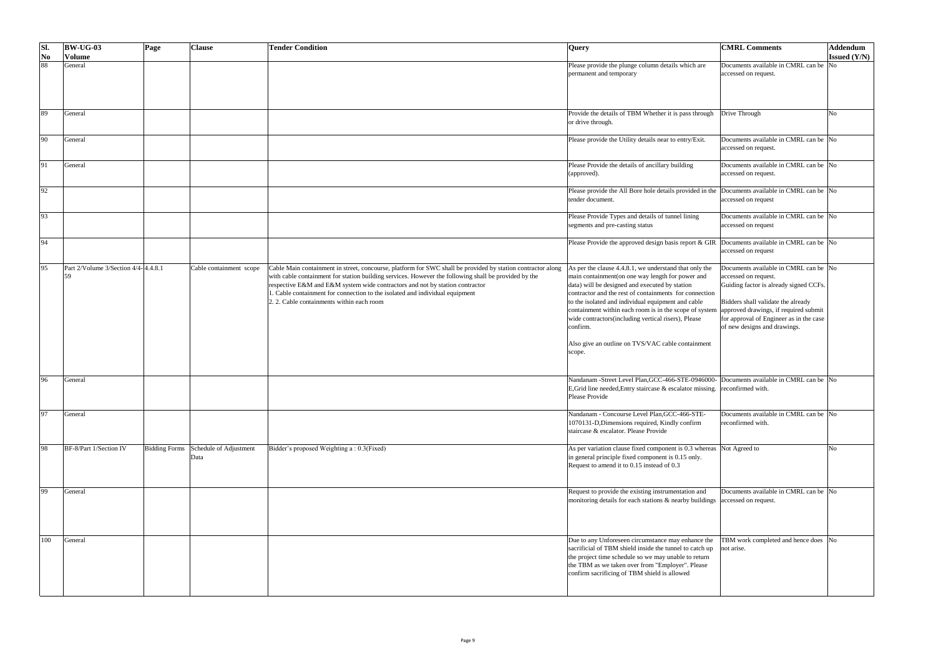

| SI.                      | $BW-UG-03$                                 | Page                 | <b>Clause</b>                  | <b>Tender Condition</b>                                                                                                                                                                                                                                                                                                                                                                                                          | <b>Query</b>                                                                                                                                                                                                                                                                                                                                                                                                                                                               |
|--------------------------|--------------------------------------------|----------------------|--------------------------------|----------------------------------------------------------------------------------------------------------------------------------------------------------------------------------------------------------------------------------------------------------------------------------------------------------------------------------------------------------------------------------------------------------------------------------|----------------------------------------------------------------------------------------------------------------------------------------------------------------------------------------------------------------------------------------------------------------------------------------------------------------------------------------------------------------------------------------------------------------------------------------------------------------------------|
| $\frac{\textbf{No}}{88}$ | <b>Volume</b>                              |                      |                                |                                                                                                                                                                                                                                                                                                                                                                                                                                  |                                                                                                                                                                                                                                                                                                                                                                                                                                                                            |
|                          | General                                    |                      |                                |                                                                                                                                                                                                                                                                                                                                                                                                                                  | Please provide the plunge column details which are<br>permanent and temporary                                                                                                                                                                                                                                                                                                                                                                                              |
| 89                       | General                                    |                      |                                |                                                                                                                                                                                                                                                                                                                                                                                                                                  | Provide the details of TBM Whether it is pass through<br>or drive through.                                                                                                                                                                                                                                                                                                                                                                                                 |
| 90                       | General                                    |                      |                                |                                                                                                                                                                                                                                                                                                                                                                                                                                  | Please provide the Utility details near to entry/Exit.                                                                                                                                                                                                                                                                                                                                                                                                                     |
| 91                       | General                                    |                      |                                |                                                                                                                                                                                                                                                                                                                                                                                                                                  | Please Provide the details of ancillary building<br>$\alpha$ (approved).                                                                                                                                                                                                                                                                                                                                                                                                   |
| 92                       |                                            |                      |                                |                                                                                                                                                                                                                                                                                                                                                                                                                                  | Please provide the All Bore hole details provided in the<br>tender document.                                                                                                                                                                                                                                                                                                                                                                                               |
| 93                       |                                            |                      |                                |                                                                                                                                                                                                                                                                                                                                                                                                                                  | Please Provide Types and details of tunnel lining<br>segments and pre-casting status                                                                                                                                                                                                                                                                                                                                                                                       |
| 94                       |                                            |                      |                                |                                                                                                                                                                                                                                                                                                                                                                                                                                  | Please Provide the approved design basis report & GIR                                                                                                                                                                                                                                                                                                                                                                                                                      |
| 95                       | Part 2/Volume 3/Section 4/4- 4.4.8.1<br>59 |                      | Cable containment scope        | Cable Main containment in street, concourse, platform for SWC shall be provided by station contractor along<br>with cable containment for station building services. However the following shall be provided by the<br>respective E&M and E&M system wide contractors and not by station contractor<br>1. Cable containment for connection to the isolated and individual equipment<br>2. 2. Cable containments within each room | As per the clause 4.4.8.1, we understand that only the<br>main containment (on one way length for power and<br>data) will be designed and executed by station<br>contractor and the rest of containments for connection<br>to the isolated and individual equipment and cable<br>containment within each room is in the scope of system<br>wide contractors (including vertical risers), Please<br>confirm.<br>Also give an outline on TVS/VAC cable containment<br>scope. |
| 96                       | General                                    |                      |                                |                                                                                                                                                                                                                                                                                                                                                                                                                                  | Nandanam - Street Level Plan, GCC-466-STE-0946000-<br>E, Grid line needed, Entry staircase $\&$ escalator missing.<br>Please Provide                                                                                                                                                                                                                                                                                                                                       |
| 97                       | General                                    |                      |                                |                                                                                                                                                                                                                                                                                                                                                                                                                                  | Nandanam - Concourse Level Plan, GCC-466-STE-<br>1070131-D, Dimensions required, Kindly confirm<br>staircase & escalator. Please Provide                                                                                                                                                                                                                                                                                                                                   |
| 98                       | BF-8/Part 1/Section IV                     | <b>Bidding Forms</b> | Schedule of Adjustment<br>Data | Bidder's proposed Weighting a: 0.3(Fixed)                                                                                                                                                                                                                                                                                                                                                                                        | As per variation clause fixed component is 0.3 whereas<br>in general principle fixed component is 0.15 only.<br>Request to amend it to 0.15 instead of 0.3                                                                                                                                                                                                                                                                                                                 |
| 99                       | General                                    |                      |                                |                                                                                                                                                                                                                                                                                                                                                                                                                                  | Request to provide the existing instrumentation and<br>monitoring details for each stations & nearby buildings                                                                                                                                                                                                                                                                                                                                                             |
| 100                      | General                                    |                      |                                |                                                                                                                                                                                                                                                                                                                                                                                                                                  | Due to any Unforeseen circumstance may enhance the<br>sacrificial of TBM shield inside the tunnel to catch up<br>the project time schedule so we may unable to return<br>the TBM as we taken over from "Employer". Please<br>confirm sacrificing of TBM shield is allowed                                                                                                                                                                                                  |

| SI.<br>No | $BW-UG-03$<br>Volume                       | <b>Clause</b><br>Page                        | <b>Tender Condition</b>                                                                                                                                                                                                                                                                                                                                                                                                       | <b>Query</b>                                                                                                                                                                                                                                                                                                                                                                                                                                                               | <b>CMRL Comments</b>                                                                                                                                                                                                                                              | <b>Addendum</b><br><b>Issued (Y/N</b> |
|-----------|--------------------------------------------|----------------------------------------------|-------------------------------------------------------------------------------------------------------------------------------------------------------------------------------------------------------------------------------------------------------------------------------------------------------------------------------------------------------------------------------------------------------------------------------|----------------------------------------------------------------------------------------------------------------------------------------------------------------------------------------------------------------------------------------------------------------------------------------------------------------------------------------------------------------------------------------------------------------------------------------------------------------------------|-------------------------------------------------------------------------------------------------------------------------------------------------------------------------------------------------------------------------------------------------------------------|---------------------------------------|
| 88        | General                                    |                                              |                                                                                                                                                                                                                                                                                                                                                                                                                               | Please provide the plunge column details which are<br>permanent and temporary                                                                                                                                                                                                                                                                                                                                                                                              | Documents available in CMRL can be No<br>accessed on request.                                                                                                                                                                                                     |                                       |
| 89        | General                                    |                                              |                                                                                                                                                                                                                                                                                                                                                                                                                               | Provide the details of TBM Whether it is pass through<br>or drive through.                                                                                                                                                                                                                                                                                                                                                                                                 | Drive Through                                                                                                                                                                                                                                                     |                                       |
| 90        | General                                    |                                              |                                                                                                                                                                                                                                                                                                                                                                                                                               | Please provide the Utility details near to entry/Exit.                                                                                                                                                                                                                                                                                                                                                                                                                     | Documents available in CMRL can be No<br>accessed on request.                                                                                                                                                                                                     |                                       |
| 91        | General                                    |                                              |                                                                                                                                                                                                                                                                                                                                                                                                                               | Please Provide the details of ancillary building<br>(approved).                                                                                                                                                                                                                                                                                                                                                                                                            | Documents available in CMRL can be No<br>accessed on request.                                                                                                                                                                                                     |                                       |
| 92        |                                            |                                              |                                                                                                                                                                                                                                                                                                                                                                                                                               | Please provide the All Bore hole details provided in the Documents available in CMRL can be No<br>tender document.                                                                                                                                                                                                                                                                                                                                                         | accessed on request                                                                                                                                                                                                                                               |                                       |
| 93        |                                            |                                              |                                                                                                                                                                                                                                                                                                                                                                                                                               | Please Provide Types and details of tunnel lining<br>segments and pre-casting status                                                                                                                                                                                                                                                                                                                                                                                       | Documents available in CMRL can be No<br>accessed on request                                                                                                                                                                                                      |                                       |
| 94        |                                            |                                              |                                                                                                                                                                                                                                                                                                                                                                                                                               | Please Provide the approved design basis report & GIR Documents available in CMRL can be $\vert$ No                                                                                                                                                                                                                                                                                                                                                                        | accessed on request                                                                                                                                                                                                                                               |                                       |
| 95        | Part 2/Volume $3/Section 4/4$ - $ 4.4.8.1$ | Cable containment scope                      | Cable Main containment in street, concourse, platform for SWC shall be provided by station contractor along<br>with cable containment for station building services. However the following shall be provided by the<br>respective E&M and E&M system wide contractors and not by station contractor<br>Cable containment for connection to the isolated and individual equipment<br>2. 2. Cable containments within each room | As per the clause 4.4.8.1, we understand that only the<br>main containment (on one way length for power and<br>data) will be designed and executed by station<br>contractor and the rest of containments for connection<br>to the isolated and individual equipment and cable<br>containment within each room is in the scope of system<br>wide contractors (including vertical risers), Please<br>confirm.<br>Also give an outline on TVS/VAC cable containment<br>scope. | Documents available in CMRL can be No<br>accessed on request.<br>Guiding factor is already signed CCFs.<br>Bidders shall validate the already<br>approved drawings, if required submit<br>for approval of Engineer as in the case<br>of new designs and drawings. |                                       |
| 96        | General                                    |                                              |                                                                                                                                                                                                                                                                                                                                                                                                                               | Nandanam -Street Level Plan, GCC-466-STE-0946000- Documents available in CMRL can be No<br>E, Grid line needed, Entry staircase $\&$ escalator missing. reconfirmed with.<br>Please Provide                                                                                                                                                                                                                                                                                |                                                                                                                                                                                                                                                                   |                                       |
| 97        | General                                    |                                              |                                                                                                                                                                                                                                                                                                                                                                                                                               | Nandanam - Concourse Level Plan, GCC-466-STE-<br>1070131-D, Dimensions required, Kindly confirm<br>staircase & escalator. Please Provide                                                                                                                                                                                                                                                                                                                                   | Documents available in CMRL can be No<br>reconfirmed with.                                                                                                                                                                                                        |                                       |
| 98        | BF-8/Part 1/Section IV                     | Bidding Forms Schedule of Adjustment<br>Data | Bidder's proposed Weighting a : 0.3(Fixed)                                                                                                                                                                                                                                                                                                                                                                                    | As per variation clause fixed component is 0.3 whereas Not Agreed to<br>in general principle fixed component is 0.15 only.<br>Request to amend it to 0.15 instead of 0.3                                                                                                                                                                                                                                                                                                   |                                                                                                                                                                                                                                                                   | No                                    |
| 99        | General                                    |                                              |                                                                                                                                                                                                                                                                                                                                                                                                                               | Request to provide the existing instrumentation and<br>monitoring details for each stations & nearby buildings accessed on request.                                                                                                                                                                                                                                                                                                                                        | Documents available in CMRL can be No                                                                                                                                                                                                                             |                                       |
| 100       | General                                    |                                              |                                                                                                                                                                                                                                                                                                                                                                                                                               | Due to any Unforeseen circumstance may enhance the<br>sacrificial of TBM shield inside the tunnel to catch up<br>the project time schedule so we may unable to return<br>the TBM as we taken over from "Employer". Please<br>confirm sacrificing of TBM shield is allowed                                                                                                                                                                                                  | TBM work completed and hence does No<br>not arise.                                                                                                                                                                                                                |                                       |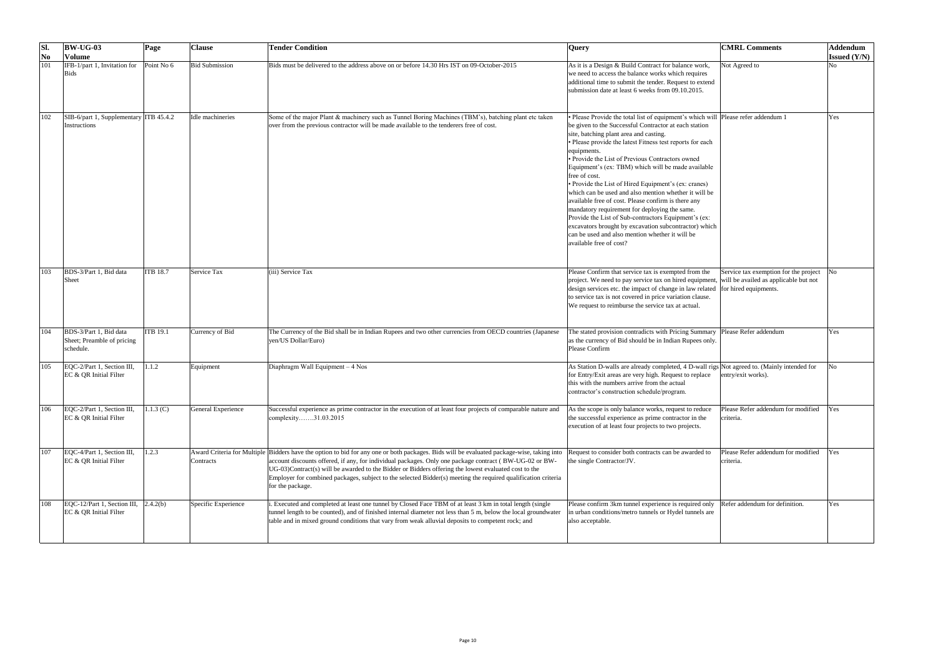

| SI.<br>$\overline{\textbf{No}}$ | $ BW-UG-03 $<br>Volume                                            | Page            | <b>Clause</b>         | <b>Tender Condition</b>                                                                                                                                                                                                                                                                                                                                                                                                                                                                          | <b>Query</b><br><b>CMRL Comments</b>                                                                                                                                                                                                                                                                                                                                                                                                                                                                                                                                                                                                                                                                                                                                                                                | <b>Addendum</b><br><b>Issued (Y/N</b> |
|---------------------------------|-------------------------------------------------------------------|-----------------|-----------------------|--------------------------------------------------------------------------------------------------------------------------------------------------------------------------------------------------------------------------------------------------------------------------------------------------------------------------------------------------------------------------------------------------------------------------------------------------------------------------------------------------|---------------------------------------------------------------------------------------------------------------------------------------------------------------------------------------------------------------------------------------------------------------------------------------------------------------------------------------------------------------------------------------------------------------------------------------------------------------------------------------------------------------------------------------------------------------------------------------------------------------------------------------------------------------------------------------------------------------------------------------------------------------------------------------------------------------------|---------------------------------------|
| 101                             | IFB-1/part 1, Invitation for<br><b>Bids</b>                       | Point No 6      | <b>Bid Submission</b> | Bids must be delivered to the address above on or before 14.30 Hrs IST on 09-October-2015                                                                                                                                                                                                                                                                                                                                                                                                        | As it is a Design & Build Contract for balance work,<br>Not Agreed to<br>we need to access the balance works which requires<br>additional time to submit the tender. Request to extend<br>submission date at least 6 weeks from 09.10.2015.                                                                                                                                                                                                                                                                                                                                                                                                                                                                                                                                                                         | 150                                   |
| 102                             | SIB-6/part 1, Supplementary ITB 45.4.2<br>Instructions            |                 | Idle machineries      | Some of the major Plant & machinery such as Tunnel Boring Machines (TBM's), batching plant etc taken<br>over from the previous contractor will be made available to the tenderers free of cost.                                                                                                                                                                                                                                                                                                  | • Please Provide the total list of equipment's which will Please refer addendum 1<br>be given to the Successful Contractor at each station<br>site, batching plant area and casting.<br>• Please provide the latest Fitness test reports for each<br>equipments.<br>• Provide the List of Previous Contractors owned<br>Equipment's (ex: TBM) which will be made available<br>free of cost.<br>• Provide the List of Hired Equipment's (ex: cranes)<br>which can be used and also mention whether it will be<br>available free of cost. Please confirm is there any<br>mandatory requirement for deploying the same.<br>Provide the List of Sub-contractors Equipment's (ex:<br>excavators brought by excavation subcontractor) which<br>can be used and also mention whether it will be<br>available free of cost? | Yes                                   |
| 103                             | BDS-3/Part 1, Bid data<br><b>Sheet</b>                            | <b>ITB 18.7</b> | Service Tax           | (iii) Service Tax                                                                                                                                                                                                                                                                                                                                                                                                                                                                                | Please Confirm that service tax is exempted from the<br>Service tax exemption for the project<br>project. We need to pay service tax on hired equipment,<br>will be availed as applicable but not<br>design services etc. the impact of change in law related for hired equipments.<br>to service tax is not covered in price variation clause.<br>We request to reimburse the service tax at actual.                                                                                                                                                                                                                                                                                                                                                                                                               |                                       |
| 104                             | BDS-3/Part 1, Bid data<br>Sheet; Preamble of pricing<br>schedule. | ITB 19.1        | Currency of Bid       | The Currency of the Bid shall be in Indian Rupees and two other currencies from OECD countries (Japanese<br>yen/US Dollar/Euro)                                                                                                                                                                                                                                                                                                                                                                  | The stated provision contradicts with Pricing Summary   Please Refer addendum<br>as the currency of Bid should be in Indian Rupees only.<br>Please Confirm                                                                                                                                                                                                                                                                                                                                                                                                                                                                                                                                                                                                                                                          | Yes                                   |
| 105                             | EQC-2/Part 1, Section III,<br>$EC & QR$ Initial Filter            | 1.1.2           | Equipment             | Diaphragm Wall Equipment - 4 Nos                                                                                                                                                                                                                                                                                                                                                                                                                                                                 | As Station D-walls are already completed, 4 D-wall rigs Not agreed to. (Mainly intended for<br>for Entry/Exit areas are very high. Request to replace<br>entry/exit works).<br>this with the numbers arrive from the actual<br>contractor's construction schedule/program.                                                                                                                                                                                                                                                                                                                                                                                                                                                                                                                                          |                                       |
| 106                             | EQC-2/Part 1, Section III,<br>$EC & QR$ Initial Filter            | 1.1.3 $(C)$     | General Experience    | Successful experience as prime contractor in the execution of at least four projects of comparable nature and<br>complexity31.03.2015                                                                                                                                                                                                                                                                                                                                                            | As the scope is only balance works, request to reduce<br>Please Refer addendum for modified<br>the successful experience as prime contractor in the<br>criteria.<br>execution of at least four projects to two projects.                                                                                                                                                                                                                                                                                                                                                                                                                                                                                                                                                                                            | Yes                                   |
| 107                             | EQC-4/Part 1, Section III,<br>EC & QR Initial Filter              | 1.2.3           | Contracts             | Award Criteria for Multiple Bidders have the option to bid for any one or both packages. Bids will be evaluated package-wise, taking into<br>account discounts offered, if any, for individual packages. Only one package contract (BW-UG-02 or BW-<br>UG-03)Contract(s) will be awarded to the Bidder or Bidders offering the lowest evaluated cost to the<br>Employer for combined packages, subject to the selected Bidder(s) meeting the required qualification criteria<br>for the package. | Request to consider both contracts can be awarded to<br>Please Refer addendum for modified<br>the single Contractor/JV.<br>criteria.                                                                                                                                                                                                                                                                                                                                                                                                                                                                                                                                                                                                                                                                                | Yes                                   |
| 108                             | EQC-12/Part 1, Section III,<br>$EC & QR$ Initial Filter           | 2.4.2(b)        | Specific Experience   | Executed and completed at least one tunnel by Closed Face TBM of at least 3 km in total length (single<br>tunnel length to be counted), and of finished internal diameter not less than 5 m, below the local groundwater<br>table and in mixed ground conditions that vary from weak alluvial deposits to competent rock; and                                                                                                                                                                    | Refer addendum for definition.<br>Please confirm 3km tunnel experience is required only<br>in urban conditions/metro tunnels or Hydel tunnels are<br>also acceptable.                                                                                                                                                                                                                                                                                                                                                                                                                                                                                                                                                                                                                                               | Yes                                   |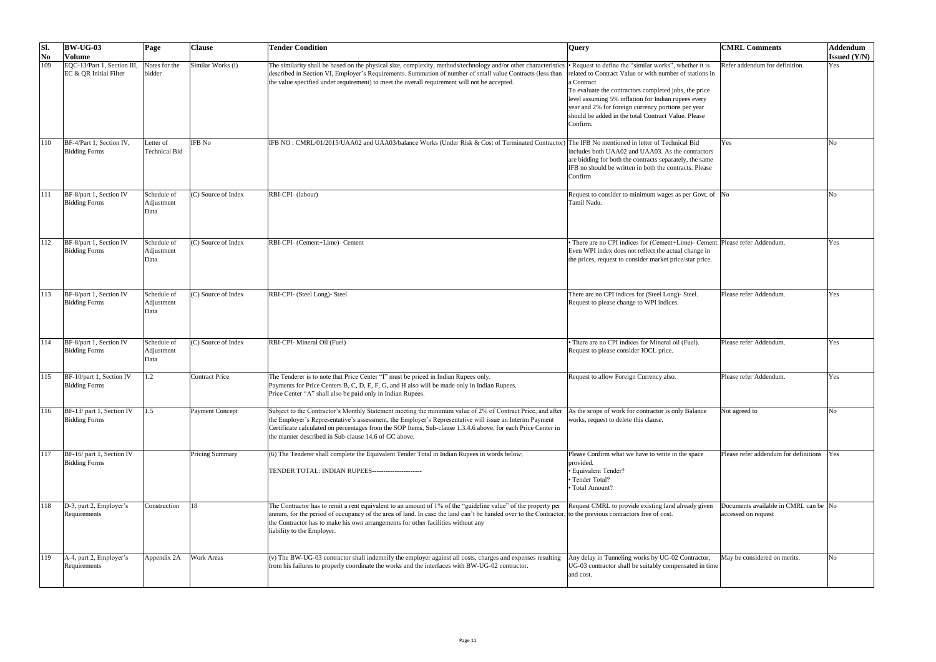

| SI.<br>$\overline{\text{No}}$ | <b>BW-UG-03</b><br><b>Volume</b>                      | Page                              | <b>Clause</b>          | <b>Tender Condition</b>                                                                                                                                                                                                                                                                                                                                                                       | <b>Query</b>                                                                                                                                                                                                                                                                                                   | <b>CMRL Comments</b>                                         | <b>Addendum</b><br><b>Issued (Y/N</b> |
|-------------------------------|-------------------------------------------------------|-----------------------------------|------------------------|-----------------------------------------------------------------------------------------------------------------------------------------------------------------------------------------------------------------------------------------------------------------------------------------------------------------------------------------------------------------------------------------------|----------------------------------------------------------------------------------------------------------------------------------------------------------------------------------------------------------------------------------------------------------------------------------------------------------------|--------------------------------------------------------------|---------------------------------------|
| 109                           | EQC-13/Part 1, Section III,<br>EC & QR Initial Filter | Notes for the<br>bidder           | Similar Works (i)      | The similarity shall be based on the physical size, complexity, methods/technology and/or other characteristics  • Request to define the "similar works", whether it is<br>described in Section VI, Employer's Requirements. Summation of number of small value Contracts (less than<br>the value specified under requirement) to meet the overall requirement will not be accepted.          | related to Contract Value or with number of stations in<br>a Contract<br>To evaluate the contractors completed jobs, the price<br>level assuming 5% inflation for Indian rupees every<br>year and 2% for foreign currency portions per year<br>should be added in the total Contract Value. Please<br>Confirm. | Refer addendum for definition.                               | Yes                                   |
| $\boxed{110}$                 | BF-4/Part 1, Section IV,<br><b>Bidding Forms</b>      | Letter of<br><b>Technical Bid</b> | <b>IFB</b> No          | IFB NO: CMRL/01/2015/UAA02 and UAA03/balance Works (Under Risk & Cost of Terminated Contractor) The IFB No mentioned in letter of Technical Bid                                                                                                                                                                                                                                               | includes both UAA02 and UAA03. As the contractors<br>are bidding for both the contracts separately, the same<br>IFB no should be written in both the contracts. Please<br>Confirm                                                                                                                              | Yes                                                          | No                                    |
| 111                           | BF-8/part 1, Section IV<br><b>Bidding Forms</b>       | Schedule of<br>Adjustment<br>Data | (C) Source of Index    | RBI-CPI- (labour)                                                                                                                                                                                                                                                                                                                                                                             | Request to consider to minimum wages as per Govt. of No<br>Tamil Nadu.                                                                                                                                                                                                                                         |                                                              |                                       |
| 112                           | BF-8/part 1, Section IV<br><b>Bidding Forms</b>       | Schedule of<br>Adjustment<br>Data | (C) Source of Index    | RBI-CPI- (Cement+Lime)- Cement                                                                                                                                                                                                                                                                                                                                                                | • There are no CPI indices for (Cement+Lime) - Cement. Please refer Addendum.<br>Even WPI index does not reflect the actual change in<br>the prices, request to consider market price/star price.                                                                                                              |                                                              | Yes                                   |
| 113                           | BF-8/part 1, Section IV<br><b>Bidding Forms</b>       | Schedule of<br>Adjustment<br>Data | (C) Source of Index    | RBI-CPI- (Steel Long)- Steel                                                                                                                                                                                                                                                                                                                                                                  | There are no CPI indices for (Steel Long)- Steel.<br>Request to please change to WPI indices.                                                                                                                                                                                                                  | Please refer Addendum.                                       | Yes                                   |
| 114                           | BF-8/part 1, Section IV<br><b>Bidding Forms</b>       | Schedule of<br>Adjustment<br>Data | (C) Source of Index    | RBI-CPI- Mineral Oil (Fuel)                                                                                                                                                                                                                                                                                                                                                                   | There are no CPI indices for Mineral oil (Fuel).<br>Request to please consider IOCL price.                                                                                                                                                                                                                     | Please refer Addendum.                                       | Yes                                   |
| 115                           | BF-10/part 1, Section IV<br><b>Bidding Forms</b>      | 1.2                               | <b>Contract Price</b>  | The Tenderer is to note that Price Center "I" must be priced in Indian Rupees only.<br>Payments for Price Centers B, C, D, E, F, G, and H also will be made only in Indian Rupees.<br>Price Center "A" shall also be paid only in Indian Rupees.                                                                                                                                              | Request to allow Foreign Currency also.                                                                                                                                                                                                                                                                        | Please refer Addendum.                                       | Yes                                   |
| 116                           | BF-13/ part 1, Section IV<br><b>Bidding Forms</b>     | 1.5                               | <b>Payment Concept</b> | Subject to the Contractor's Monthly Statement meeting the minimum value of 2% of Contract Price, and after<br>the Employer's Representative's assessment, the Employer's Representative will issue an Interim Payment<br>Certificate calculated on percentages from the SOP Items, Sub-clause 1.3.4.6 above, for each Price Center in<br>the manner described in Sub-clause 14.6 of GC above. | As the scope of work for contractor is only Balance<br>works, request to delete this clause.                                                                                                                                                                                                                   | Not agreed to                                                | No                                    |
| 117                           | BF-16/ part 1, Section IV<br><b>Bidding Forms</b>     |                                   | <b>Pricing Summary</b> | (6) The Tenderer shall complete the Equivalent Tender Total in Indian Rupees in words below;<br>TENDER TOTAL: INDIAN RUPEES----------------------                                                                                                                                                                                                                                             | Please Confirm what we have to write in the space<br>provided.<br><b>Equivalent Tender?</b><br>• Tender Total?<br>• Total Amount?                                                                                                                                                                              | Please refer addendum for definitions                        | Yes                                   |
| 118                           | D-3, part 2, Employer's<br>Requirements               | Construction                      | 18                     | The Contractor has to remit a rent equivalent to an amount of 1% of the "guideline value" of the property per<br>annum, for the period of occupancy of the area of land. In case the land can't be handed over to the Contractor, to the previous contractors free of cost.<br>the Contractor has to make his own arrangements for other facilities without any<br>liability to the Employer. | Request CMRL to provide existing land already given                                                                                                                                                                                                                                                            | Documents available in CMRL can be No<br>accessed on request |                                       |
| 119                           | A-4, part 2, Employer's<br>Requirements               | Appendix 2A                       | <b>Work Areas</b>      | (v) The BW-UG-03 contractor shall indemnify the employer against all costs, charges and expenses resulting<br>from his failures to properly coordinate the works and the interfaces with BW-UG-02 contractor.                                                                                                                                                                                 | Any delay in Tunneling works by UG-02 Contractor,<br>UG-03 contractor shall be suitably compensated in time<br>and cost.                                                                                                                                                                                       | May be considered on merits.                                 | N <sub>o</sub>                        |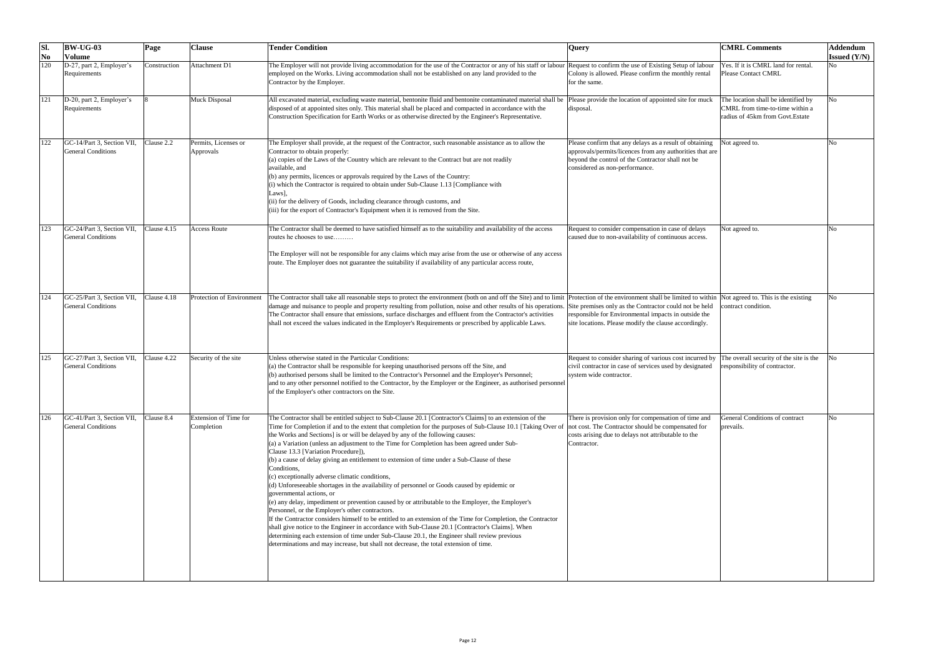

| SI.<br>$\overline{\text{No}}$ | <b>BW-UG-03</b><br><b>Volume</b>                        | Page          | <b>Clause</b>                              | <b>Tender Condition</b>                                                                                                                                                                                                                                                                                                                                                                                                                                                                                                                                                                                                                                                                                                                                                                                                                                                                                                                                                                                                                                                                                                                                                                                                                                                                                          | <b>Query</b>                                                                                                                                                                                               | <b>CMRL Comments</b>                                                                                       | <b>Addendum</b><br><b>Issued (Y/N</b> |
|-------------------------------|---------------------------------------------------------|---------------|--------------------------------------------|------------------------------------------------------------------------------------------------------------------------------------------------------------------------------------------------------------------------------------------------------------------------------------------------------------------------------------------------------------------------------------------------------------------------------------------------------------------------------------------------------------------------------------------------------------------------------------------------------------------------------------------------------------------------------------------------------------------------------------------------------------------------------------------------------------------------------------------------------------------------------------------------------------------------------------------------------------------------------------------------------------------------------------------------------------------------------------------------------------------------------------------------------------------------------------------------------------------------------------------------------------------------------------------------------------------|------------------------------------------------------------------------------------------------------------------------------------------------------------------------------------------------------------|------------------------------------------------------------------------------------------------------------|---------------------------------------|
| 120                           | D-27, part 2, Employer's<br>Requirements                | Construction  | Attachment D1                              | The Employer will not provide living accommodation for the use of the Contractor or any of his staff or labour Request to confirm the use of Existing Setup of labour<br>employed on the Works. Living accommodation shall not be established on any land provided to the<br>Contractor by the Employer.                                                                                                                                                                                                                                                                                                                                                                                                                                                                                                                                                                                                                                                                                                                                                                                                                                                                                                                                                                                                         | Colony is allowed. Please confirm the monthly rental<br>for the same.                                                                                                                                      | Yes. If it is CMRL land for rental.<br><b>Please Contact CMRL</b>                                          |                                       |
| 121                           | D-20, part 2, Employer's<br>Requirements                |               | <b>Muck Disposal</b>                       | All excavated material, excluding waste material, bentonite fluid and bentonite contaminated material shall be Please provide the location of appointed site for muck<br>disposed of at appointed sites only. This material shall be placed and compacted in accordance with the<br>Construction Specification for Earth Works or as otherwise directed by the Engineer's Representative.                                                                                                                                                                                                                                                                                                                                                                                                                                                                                                                                                                                                                                                                                                                                                                                                                                                                                                                        | disposal.                                                                                                                                                                                                  | The location shall be identified by<br>CMRL from time-to-time within a<br>radius of 45km from Govt. Estate | N <sub>o</sub>                        |
| 122                           | GC-14/Part 3, Section VII,<br><b>General Conditions</b> | Clause 2.2    | Permits, Licenses or<br>Approvals          | The Employer shall provide, at the request of the Contractor, such reasonable assistance as to allow the<br>Contractor to obtain properly:<br>(a) copies of the Laws of the Country which are relevant to the Contract but are not readily<br>available, and<br>(b) any permits, licences or approvals required by the Laws of the Country:<br>(i) which the Contractor is required to obtain under Sub-Clause 1.13 [Compliance with<br>Laws].<br>(ii) for the delivery of Goods, including clearance through customs, and<br>(iii) for the export of Contractor's Equipment when it is removed from the Site.                                                                                                                                                                                                                                                                                                                                                                                                                                                                                                                                                                                                                                                                                                   | Please confirm that any delays as a result of obtaining<br>approvals/permits/licences from any authorities that are<br>beyond the control of the Contractor shall not be<br>considered as non-performance. | Not agreed to.                                                                                             | N <sub>0</sub>                        |
| 123                           | GC-24/Part 3, Section VII,<br><b>General Conditions</b> | Clause $4.15$ | <b>Access Route</b>                        | The Contractor shall be deemed to have satisfied himself as to the suitability and availability of the access<br>routes he chooses to use<br>The Employer will not be responsible for any claims which may arise from the use or otherwise of any access<br>route. The Employer does not guarantee the suitability if availability of any particular access route,                                                                                                                                                                                                                                                                                                                                                                                                                                                                                                                                                                                                                                                                                                                                                                                                                                                                                                                                               | Request to consider compensation in case of delays<br>caused due to non-availability of continuous access.                                                                                                 | Not agreed to.                                                                                             | No                                    |
| 124                           | GC-25/Part 3, Section VII.<br><b>General Conditions</b> | Clause 4.18   | Protection of Environment                  | The Contractor shall take all reasonable steps to protect the environment (both on and off the Site) and to limit Protection of the environment shall be limited to within Not agreed to. This is the existing<br>damage and nuisance to people and property resulting from pollution, noise and other results of his operations. Site premises only as the Contractor could not be held<br>The Contractor shall ensure that emissions, surface discharges and effluent from the Contractor's activities<br>shall not exceed the values indicated in the Employer's Requirements or prescribed by applicable Laws.                                                                                                                                                                                                                                                                                                                                                                                                                                                                                                                                                                                                                                                                                               | responsible for Environmental impacts in outside the<br>site locations. Please modify the clause accordingly.                                                                                              | contract condition.                                                                                        |                                       |
| 125                           | GC-27/Part 3, Section VII,<br><b>General Conditions</b> | Clause 4.22   | Security of the site                       | Unless otherwise stated in the Particular Conditions:<br>(a) the Contractor shall be responsible for keeping unauthorised persons off the Site, and<br>(b) authorised persons shall be limited to the Contractor's Personnel and the Employer's Personnel;<br>and to any other personnel notified to the Contractor, by the Employer or the Engineer, as authorised personnel<br>of the Employer's other contractors on the Site.                                                                                                                                                                                                                                                                                                                                                                                                                                                                                                                                                                                                                                                                                                                                                                                                                                                                                | Request to consider sharing of various cost incurred by<br>civil contractor in case of services used by designated<br>system wide contractor.                                                              | The overall security of the site is the<br>responsibility of contractor.                                   |                                       |
|                               | GC-41/Part 3, Section VII,<br><b>General Conditions</b> | Clause 8.4    | <b>Extension of Time for</b><br>Completion | The Contractor shall be entitled subject to Sub-Clause 20.1 [Contractor's Claims] to an extension of the<br>Time for Completion if and to the extent that completion for the purposes of Sub-Clause 10.1 [Taking Over of<br>the Works and Sections] is or will be delayed by any of the following causes:<br>(a) a Variation (unless an adjustment to the Time for Completion has been agreed under Sub-<br>Clause 13.3 [Variation Procedure]),<br>(b) a cause of delay giving an entitlement to extension of time under a Sub-Clause of these<br>Conditions,<br>(c) exceptionally adverse climatic conditions,<br>(d) Unforeseeable shortages in the availability of personnel or Goods caused by epidemic or<br>governmental actions, or<br>(e) any delay, impediment or prevention caused by or attributable to the Employer, the Employer's<br>Personnel, or the Employer's other contractors.<br>If the Contractor considers himself to be entitled to an extension of the Time for Completion, the Contractor<br>shall give notice to the Engineer in accordance with Sub-Clause 20.1 [Contractor's Claims]. When<br>determining each extension of time under Sub-Clause 20.1, the Engineer shall review previous<br>determinations and may increase, but shall not decrease, the total extension of time. | There is provision only for compensation of time and<br>not cost. The Contractor should be compensated for<br>costs arising due to delays not attributable to the<br>Contractor.                           | General Conditions of contract<br>prevails.                                                                | No                                    |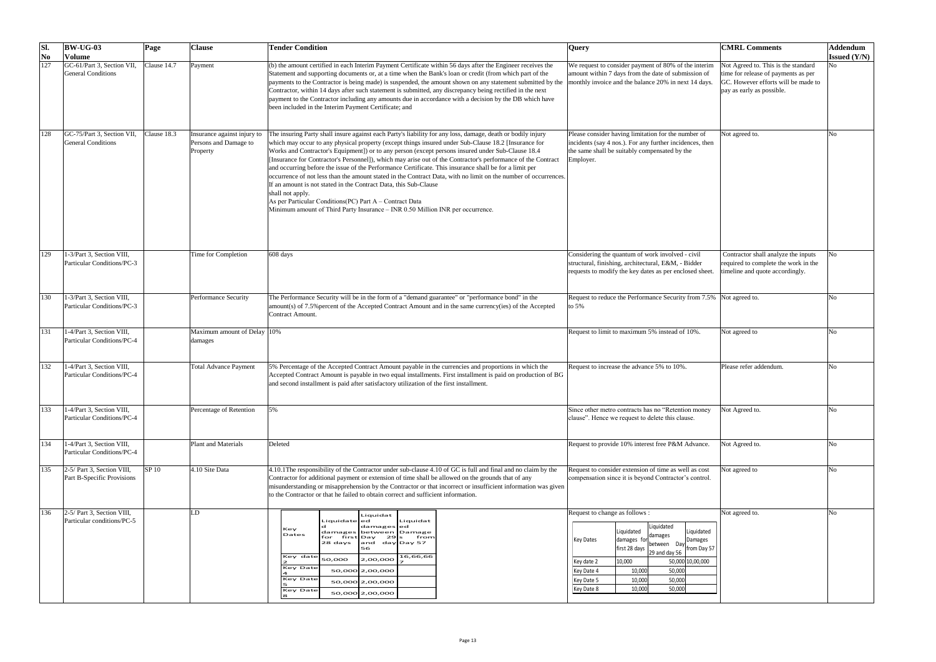

| SI.<br>$\overline{\text{No}}$ | <b>BW-UG-03</b><br><b>Volume</b>                               | Page        | <b>Clause</b>                                                    | <b>Tender Condition</b>                                                                                                                                                                                                                                                                                                                                                                                                                                                                                                                                                                                                                                                                                                                                                                                                                                                                                     | <b>Query</b>                                                                                                                                                                                                                                                                                                                                               | <b>CMRL Comments</b>                                                                                                                           | <b>Addendum</b><br><b>Issued (Y/N</b> |
|-------------------------------|----------------------------------------------------------------|-------------|------------------------------------------------------------------|-------------------------------------------------------------------------------------------------------------------------------------------------------------------------------------------------------------------------------------------------------------------------------------------------------------------------------------------------------------------------------------------------------------------------------------------------------------------------------------------------------------------------------------------------------------------------------------------------------------------------------------------------------------------------------------------------------------------------------------------------------------------------------------------------------------------------------------------------------------------------------------------------------------|------------------------------------------------------------------------------------------------------------------------------------------------------------------------------------------------------------------------------------------------------------------------------------------------------------------------------------------------------------|------------------------------------------------------------------------------------------------------------------------------------------------|---------------------------------------|
| 127                           | GC-61/Part 3, Section VII,<br><b>General Conditions</b>        | Clause 14.7 | Payment                                                          | (b) the amount certified in each Interim Payment Certificate within 56 days after the Engineer receives the<br>Statement and supporting documents or, at a time when the Bank's loan or credit (from which part of the<br>payments to the Contractor is being made) is suspended, the amount shown on any statement submitted by the  monthly invoice and the balance 20% in next 14 days.<br>Contractor, within 14 days after such statement is submitted, any discrepancy being rectified in the next<br>payment to the Contractor including any amounts due in accordance with a decision by the DB which have<br>been included in the Interim Payment Certificate; and                                                                                                                                                                                                                                  | We request to consider payment of 80% of the interim<br>amount within 7 days from the date of submission of                                                                                                                                                                                                                                                | Not Agreed to. This is the standard<br>time for release of payments as per<br>GC. However efforts will be made to<br>pay as early as possible. | N <sub>0</sub>                        |
| 128                           | GC-75/Part 3, Section VII.<br><b>General Conditions</b>        | Clause 18.3 | Insurance against injury to<br>Persons and Damage to<br>Property | The insuring Party shall insure against each Party's liability for any loss, damage, death or bodily injury<br>which may occur to any physical property (except things insured under Sub-Clause 18.2 [Insurance for<br>Works and Contractor's Equipment]) or to any person (except persons insured under Sub-Clause 18.4<br>[Insurance for Contractor's Personnel]), which may arise out of the Contractor's performance of the Contract<br>and occurring before the issue of the Performance Certificate. This insurance shall be for a limit per<br>occurrence of not less than the amount stated in the Contract Data, with no limit on the number of occurrences.<br>If an amount is not stated in the Contract Data, this Sub-Clause<br>shall not apply.<br>As per Particular Conditions (PC) Part A – Contract Data<br>Minimum amount of Third Party Insurance – INR 0.50 Million INR per occurrence. | Please consider having limitation for the number of<br>incidents (say 4 nos.). For any further incidences, then<br>the same shall be suitably compensated by the<br>Employer.                                                                                                                                                                              | Not agreed to.                                                                                                                                 |                                       |
| 129                           | 1-3/Part 3, Section VIII,<br>Particular Conditions/PC-3        |             | Time for Completion                                              | 608 days                                                                                                                                                                                                                                                                                                                                                                                                                                                                                                                                                                                                                                                                                                                                                                                                                                                                                                    | Considering the quantum of work involved - civil<br>structural, finishing, architectural, E&M, - Bidder<br>requests to modify the key dates as per enclosed sheet.                                                                                                                                                                                         | Contractor shall analyze the inputs<br>required to complete the work in the<br>timeline and quote accordingly.                                 |                                       |
| 130                           | 1-3/Part 3, Section VIII,<br><b>Particular Conditions/PC-3</b> |             | <b>Performance Security</b>                                      | The Performance Security will be in the form of a "demand guarantee" or "performance bond" in the<br>amount(s) of 7.5% percent of the Accepted Contract Amount and in the same currency(ies) of the Accepted<br>Contract Amount.                                                                                                                                                                                                                                                                                                                                                                                                                                                                                                                                                                                                                                                                            | Request to reduce the Performance Security from 7.5% Not agreed to.<br>to $5%$                                                                                                                                                                                                                                                                             |                                                                                                                                                |                                       |
| 131                           | 1-4/Part 3, Section VIII,<br>Particular Conditions/PC-4        |             | Maximum amount of Delay 10%<br>damages                           |                                                                                                                                                                                                                                                                                                                                                                                                                                                                                                                                                                                                                                                                                                                                                                                                                                                                                                             | Request to limit to maximum 5% instead of 10%.                                                                                                                                                                                                                                                                                                             | Not agreed to                                                                                                                                  |                                       |
| 132                           | 1-4/Part 3, Section VIII,<br><b>Particular Conditions/PC-4</b> |             | <b>Total Advance Payment</b>                                     | 5% Percentage of the Accepted Contract Amount payable in the currencies and proportions in which the<br>Accepted Contract Amount is payable in two equal installments. First installment is paid on production of BG<br>and second installment is paid after satisfactory utilization of the first installment.                                                                                                                                                                                                                                                                                                                                                                                                                                                                                                                                                                                             | Request to increase the advance 5% to 10%.                                                                                                                                                                                                                                                                                                                 | Please refer addendum.                                                                                                                         |                                       |
| $\boxed{133}$                 | -4/Part 3, Section VIII,<br><b>Particular Conditions/PC-4</b>  |             | Percentage of Retention                                          |                                                                                                                                                                                                                                                                                                                                                                                                                                                                                                                                                                                                                                                                                                                                                                                                                                                                                                             | Since other metro contracts has no "Retention money"<br>clause". Hence we request to delete this clause.                                                                                                                                                                                                                                                   | Not Agreed to.                                                                                                                                 |                                       |
| 134                           | 1-4/Part 3, Section VIII,<br><b>Particular Conditions/PC-4</b> |             | <b>Plant and Materials</b>                                       | Deleted                                                                                                                                                                                                                                                                                                                                                                                                                                                                                                                                                                                                                                                                                                                                                                                                                                                                                                     | Request to provide 10% interest free P&M Advance.                                                                                                                                                                                                                                                                                                          | Not Agreed to.                                                                                                                                 |                                       |
| 135                           | $2-5$ / Part 3, Section VIII,<br>Part B-Specific Provisions    | SP 10       | 4.10 Site Data                                                   | $ 4.10.1$ The responsibility of the Contractor under sub-clause 4.10 of GC is full and final and no claim by the<br>Contractor for additional payment or extension of time shall be allowed on the grounds that of any<br>misunderstanding or misapprehension by the Contractor or that incorrect or insufficient information was given<br>to the Contractor or that he failed to obtain correct and sufficient information.                                                                                                                                                                                                                                                                                                                                                                                                                                                                                | Request to consider extension of time as well as cost<br>compensation since it is beyond Contractor's control.                                                                                                                                                                                                                                             | Not agreed to                                                                                                                                  |                                       |
| 136                           | 2-5/ Part 3, Section VIII,<br>Particular conditions/PC-5       |             |                                                                  | Liquidat<br>Liquidate ed<br>Liquidat<br>damages ed<br> Key<br>damages between Damage<br>Dates<br>$29$ S<br>from<br>first Day<br>for<br>and day Day 57<br>$28$ days<br>56<br>16,66,66<br>Key date<br>50,000<br>2,00,000<br><b>Key Date</b><br>50,000 2,00,000<br><b>Key Date</b><br>50,000 2,00,000<br><b>Key Date</b><br>50,000 2,00,000                                                                                                                                                                                                                                                                                                                                                                                                                                                                                                                                                                    | Request to change as follows :<br>Liquidated<br>Liquidated<br>Liquidated<br>damages for damages<br><b>Key Dates</b><br>Damages<br>from Day 57<br>$\int$ first 28 days $\int_{29}^{27}$ and day 56 $\int$<br>10,000<br>50,000 10,00,000<br>Key date 2<br>10,000<br>50,000<br>Key Date 4<br>10,000<br>50,000<br>Key Date 5<br>10,000<br>50,000<br>Key Date 8 | Not agreed to.                                                                                                                                 | N <sub>0</sub>                        |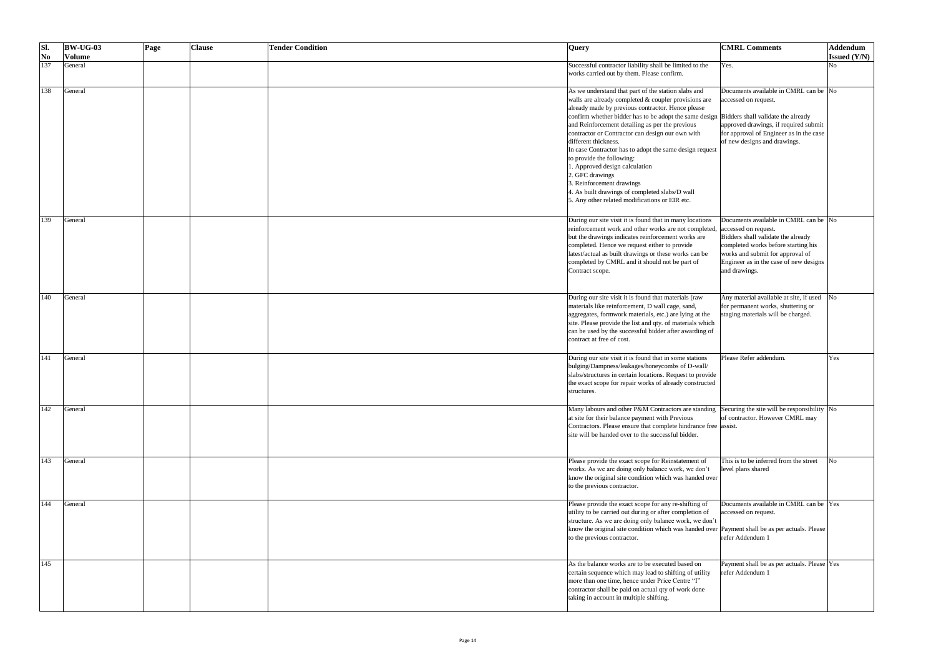

| SI.<br>$\overline{\text{No}}$ | $BW-UG-03$<br><b>Volume</b> | Page | <b>Clause</b> | <b>Tender Condition</b> | <b>Query</b>                                                                                                                                                                                                                                                                                                                                                                                                                                                                                                                                                                                                                                                               | <b>CMRL Comments</b>                                                                                                                                                                                                                      | <b>Addendum</b><br><b>Issued (Y/N</b> |
|-------------------------------|-----------------------------|------|---------------|-------------------------|----------------------------------------------------------------------------------------------------------------------------------------------------------------------------------------------------------------------------------------------------------------------------------------------------------------------------------------------------------------------------------------------------------------------------------------------------------------------------------------------------------------------------------------------------------------------------------------------------------------------------------------------------------------------------|-------------------------------------------------------------------------------------------------------------------------------------------------------------------------------------------------------------------------------------------|---------------------------------------|
| 137                           | General                     |      |               |                         | Successful contractor liability shall be limited to the<br>works carried out by them. Please confirm.                                                                                                                                                                                                                                                                                                                                                                                                                                                                                                                                                                      | Yes.                                                                                                                                                                                                                                      | N <sub>0</sub>                        |
| 138                           | General                     |      |               |                         | As we understand that part of the station slabs and<br>walls are already completed & coupler provisions are<br>already made by previous contractor. Hence please<br>confirm whether bidder has to be adopt the same design Bidders shall validate the already<br>and Reinforcement detailing as per the previous<br>contractor or Contractor can design our own with<br>different thickness.<br>In case Contractor has to adopt the same design request<br>to provide the following:<br>1. Approved design calculation<br>2. GFC drawings<br>3. Reinforcement drawings<br>4. As built drawings of completed slabs/D wall<br>5. Any other related modifications or EIR etc. | Documents available in CMRL can be No<br>accessed on request.<br>approved drawings, if required submit<br>for approval of Engineer as in the case<br>of new designs and drawings.                                                         |                                       |
| $\vert 139$                   | General                     |      |               |                         | During our site visit it is found that in many locations<br>reinforcement work and other works are not completed,<br>but the drawings indicates reinforcement works are<br>completed. Hence we request either to provide<br>latest/actual as built drawings or these works can be<br>completed by CMRL and it should not be part of<br>Contract scope.                                                                                                                                                                                                                                                                                                                     | Documents available in CMRL can be No<br>accessed on request.<br>Bidders shall validate the already<br>completed works before starting his<br>works and submit for approval of<br>Engineer as in the case of new designs<br>and drawings. |                                       |
| 140                           | General                     |      |               |                         | During our site visit it is found that materials (raw<br>materials like reinforcement, D wall cage, sand,<br>aggregates, formwork materials, etc.) are lying at the<br>site. Please provide the list and qty. of materials which<br>can be used by the successful bidder after awarding of<br>contract at free of cost.                                                                                                                                                                                                                                                                                                                                                    | Any material available at site, if used<br>for permanent works, shuttering or<br>staging materials will be charged.                                                                                                                       |                                       |
| 141                           | General                     |      |               |                         | During our site visit it is found that in some stations<br>bulging/Dampness/leakages/honeycombs of D-wall/<br>slabs/structures in certain locations. Request to provide<br>the exact scope for repair works of already constructed<br>structures.                                                                                                                                                                                                                                                                                                                                                                                                                          | Please Refer addendum.                                                                                                                                                                                                                    | Yes                                   |
| $ 142\rangle$                 | General                     |      |               |                         | Many labours and other P&M Contractors are standing Securing the site will be responsibility No<br>at site for their balance payment with Previous<br>Contractors. Please ensure that complete hindrance free assist.<br>site will be handed over to the successful bidder.                                                                                                                                                                                                                                                                                                                                                                                                | of contractor. However CMRL may                                                                                                                                                                                                           |                                       |
| 143                           | General                     |      |               |                         | Please provide the exact scope for Reinstatement of<br>works. As we are doing only balance work, we don't<br>know the original site condition which was handed over<br>to the previous contractor.                                                                                                                                                                                                                                                                                                                                                                                                                                                                         | This is to be inferred from the street<br>level plans shared                                                                                                                                                                              |                                       |
| 144                           | General                     |      |               |                         | Please provide the exact scope for any re-shifting of<br>utility to be carried out during or after completion of<br>structure. As we are doing only balance work, we don't<br>know the original site condition which was handed over Payment shall be as per actuals. Please<br>to the previous contractor.                                                                                                                                                                                                                                                                                                                                                                | Documents available in CMRL can be Yes<br>accessed on request.<br>refer Addendum 1                                                                                                                                                        |                                       |
| 145                           |                             |      |               |                         | As the balance works are to be executed based on<br>certain sequence which may lead to shifting of utility<br>more than one time, hence under Price Centre "I"<br>contractor shall be paid on actual qty of work done<br>taking in account in multiple shifting.                                                                                                                                                                                                                                                                                                                                                                                                           | Payment shall be as per actuals. Please Yes<br>refer Addendum 1                                                                                                                                                                           |                                       |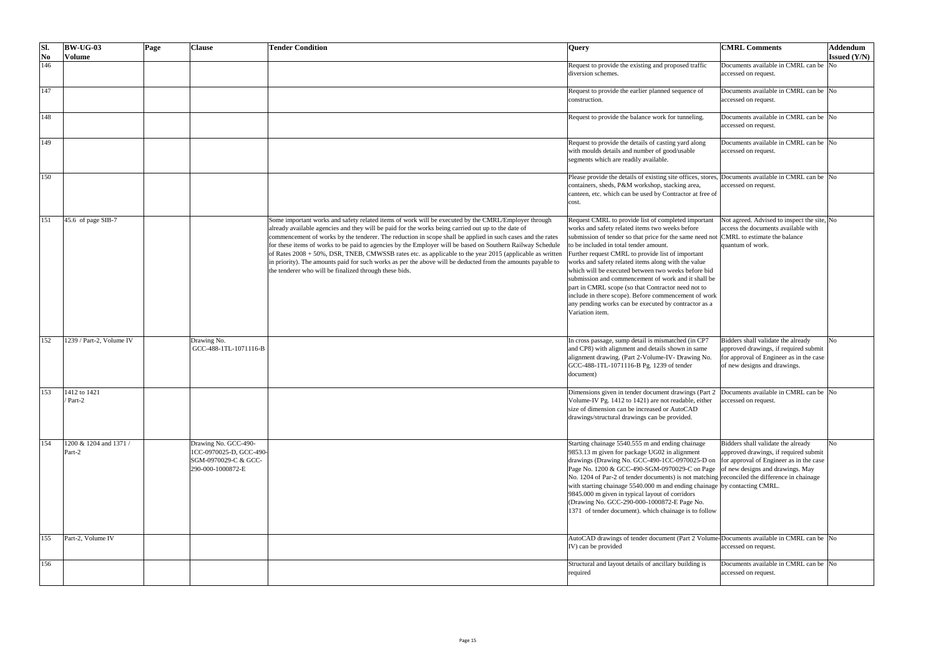

| SI.<br>$\overline{\textbf{No}}$ | <b>BW-UG-03</b><br>Volume        | Page | <b>Clause</b>                                                                                | <b>Tender Condition</b>                                                                                                                                                                                                                                                                                                                                                                                                                                                                                                                                                                                                                                                                                                       | <b>Query</b>                                                                                                                                                                                                                                                                                                                                                                                                                                                                                                                                                                                                                    | <b>CMRL Comments</b>                                                                                                                                   | <b>Addendum</b><br><b>Issued (Y/N</b> |
|---------------------------------|----------------------------------|------|----------------------------------------------------------------------------------------------|-------------------------------------------------------------------------------------------------------------------------------------------------------------------------------------------------------------------------------------------------------------------------------------------------------------------------------------------------------------------------------------------------------------------------------------------------------------------------------------------------------------------------------------------------------------------------------------------------------------------------------------------------------------------------------------------------------------------------------|---------------------------------------------------------------------------------------------------------------------------------------------------------------------------------------------------------------------------------------------------------------------------------------------------------------------------------------------------------------------------------------------------------------------------------------------------------------------------------------------------------------------------------------------------------------------------------------------------------------------------------|--------------------------------------------------------------------------------------------------------------------------------------------------------|---------------------------------------|
| 146                             |                                  |      |                                                                                              |                                                                                                                                                                                                                                                                                                                                                                                                                                                                                                                                                                                                                                                                                                                               | Request to provide the existing and proposed traffic<br>diversion schemes.                                                                                                                                                                                                                                                                                                                                                                                                                                                                                                                                                      | Documents available in CMRL can be No<br>accessed on request.                                                                                          |                                       |
| $ 147\rangle$                   |                                  |      |                                                                                              |                                                                                                                                                                                                                                                                                                                                                                                                                                                                                                                                                                                                                                                                                                                               | Request to provide the earlier planned sequence of<br>construction.                                                                                                                                                                                                                                                                                                                                                                                                                                                                                                                                                             | Documents available in CMRL can be No<br>accessed on request.                                                                                          |                                       |
| 148                             |                                  |      |                                                                                              |                                                                                                                                                                                                                                                                                                                                                                                                                                                                                                                                                                                                                                                                                                                               | Request to provide the balance work for tunneling.                                                                                                                                                                                                                                                                                                                                                                                                                                                                                                                                                                              | Documents available in CMRL can be No<br>accessed on request.                                                                                          |                                       |
| 149                             |                                  |      |                                                                                              |                                                                                                                                                                                                                                                                                                                                                                                                                                                                                                                                                                                                                                                                                                                               | Request to provide the details of casting yard along<br>with moulds details and number of good/usable<br>segments which are readily available.                                                                                                                                                                                                                                                                                                                                                                                                                                                                                  | Documents available in CMRL can be No<br>accessed on request.                                                                                          |                                       |
| 150                             |                                  |      |                                                                                              |                                                                                                                                                                                                                                                                                                                                                                                                                                                                                                                                                                                                                                                                                                                               | Please provide the details of existing site offices, stores, Documents available in CMRL can be No<br>containers, sheds, P&M workshop, stacking area,<br>canteen, etc. which can be used by Contractor at free of<br>cost.                                                                                                                                                                                                                                                                                                                                                                                                      | accessed on request.                                                                                                                                   |                                       |
|                                 | $45.6$ of page SIB-7             |      |                                                                                              | Some important works and safety related items of work will be executed by the CMRL/Employer through<br>already available agencies and they will be paid for the works being carried out up to the date of<br>commencement of works by the tenderer. The reduction in scope shall be applied in such cases and the rates<br>for these items of works to be paid to agencies by the Employer will be based on Southern Railway Schedule<br>of Rates $2008 + 50\%$ , DSR, TNEB, CMWSSB rates etc. as applicable to the year 2015 (applicable as written<br>in priority). The amounts paid for such works as per the above will be deducted from the amounts payable to<br>the tenderer who will be finalized through these bids. | Request CMRL to provide list of completed important<br>works and safety related items two weeks before<br>submission of tender so that price for the same need not<br>to be included in total tender amount.<br>Further request CMRL to provide list of important<br>works and safety related items along with the value<br>which will be executed between two weeks before bid<br>submission and commencement of work and it shall be<br>part in CMRL scope (so that Contractor need not to<br>include in there scope). Before commencement of work<br>any pending works can be executed by contractor as a<br>Variation item. | Not agreed. Advised to inspect the site, No<br>access the documents available with<br>CMRL to estimate the balance<br>quantum of work.                 |                                       |
| $\vert$ 152                     | 1239 / Part-2, Volume IV         |      | Drawing No.<br>GCC-488-1TL-1071116-B                                                         |                                                                                                                                                                                                                                                                                                                                                                                                                                                                                                                                                                                                                                                                                                                               | In cross passage, sump detail is mismatched (in CP7<br>and CP8) with alignment and details shown in same<br>alignment drawing. (Part 2-Volume-IV- Drawing No.<br>GCC-488-1TL-1071116-B Pg. 1239 of tender<br>document                                                                                                                                                                                                                                                                                                                                                                                                           | Bidders shall validate the already<br>approved drawings, if required submit<br>for approval of Engineer as in the case<br>of new designs and drawings. | N <sub>o</sub>                        |
| 153                             | 1412 to 1421<br>/ Part-2         |      |                                                                                              |                                                                                                                                                                                                                                                                                                                                                                                                                                                                                                                                                                                                                                                                                                                               | Dimensions given in tender document drawings (Part 2   Documents available in CMRL can be   No<br>Volume-IV Pg. 1412 to 1421) are not readable, either<br>size of dimension can be increased or AutoCAD<br>drawings/structural drawings can be provided.                                                                                                                                                                                                                                                                                                                                                                        | accessed on request.                                                                                                                                   |                                       |
| 154                             | 1200 & 1204 and 1371 /<br>Part-2 |      | Drawing No. GCC-490-<br>1CC-0970025-D, GCC-490-<br>SGM-0970029-C & GCC-<br>290-000-1000872-E |                                                                                                                                                                                                                                                                                                                                                                                                                                                                                                                                                                                                                                                                                                                               | Starting chainage 5540.555 m and ending chainage<br>9853.13 m given for package UG02 in alignment<br>drawings (Drawing No. GCC-490-1CC-0970025-D on for approval of Engineer as in the case<br>Page No. 1200 & GCC-490-SGM-0970029-C on Page of new designs and drawings. May<br>No. 1204 of Par-2 of tender documents) is not matching reconciled the difference in chainage<br>with starting chainage 5540.000 m and ending chainage by contacting CMRL.<br>9845.000 m given in typical layout of corridors<br>(Drawing No. GCC-290-000-1000872-E Page No.<br>1371 of tender document). which chainage is to follow           | Bidders shall validate the already<br>approved drawings, if required submit                                                                            | N <sub>o</sub>                        |
| 155                             | Part-2, Volume IV                |      |                                                                                              |                                                                                                                                                                                                                                                                                                                                                                                                                                                                                                                                                                                                                                                                                                                               | AutoCAD drawings of tender document (Part 2 Volume-Documents available in CMRL can be  No<br>$\vert$ IV) can be provided                                                                                                                                                                                                                                                                                                                                                                                                                                                                                                        | accessed on request.                                                                                                                                   |                                       |
| 156                             |                                  |      |                                                                                              |                                                                                                                                                                                                                                                                                                                                                                                                                                                                                                                                                                                                                                                                                                                               | Structural and layout details of ancillary building is<br>required                                                                                                                                                                                                                                                                                                                                                                                                                                                                                                                                                              | Documents available in CMRL can be No<br>accessed on request.                                                                                          |                                       |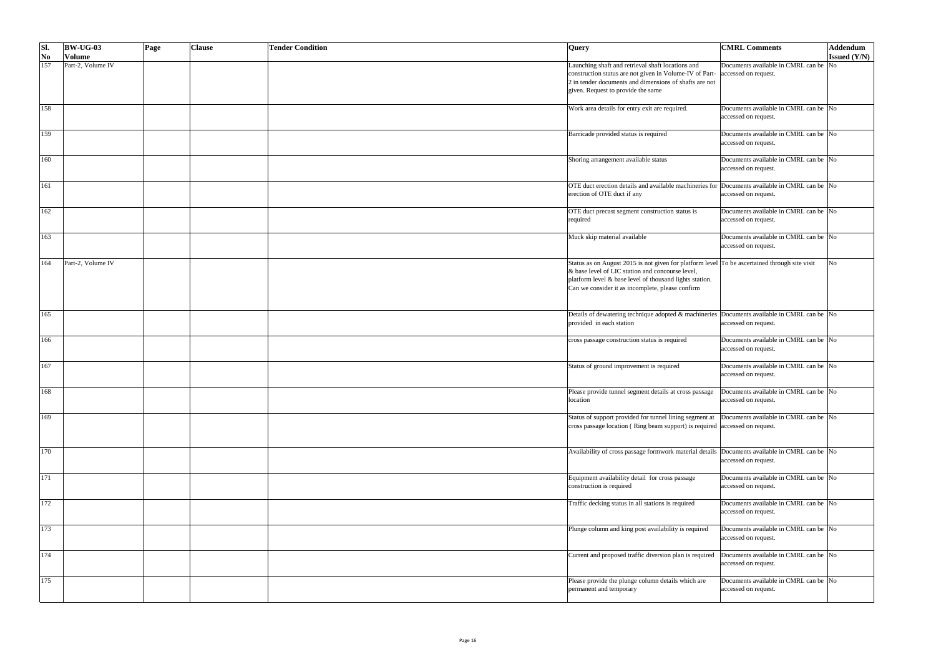| dum<br>(Y/N) |  |
|--------------|--|
|              |  |
|              |  |
|              |  |
|              |  |
|              |  |
|              |  |
|              |  |
|              |  |
|              |  |
|              |  |
|              |  |
|              |  |
|              |  |
|              |  |
|              |  |
|              |  |
|              |  |
|              |  |
|              |  |
|              |  |
|              |  |
|              |  |
|              |  |
|              |  |
|              |  |
|              |  |
|              |  |
|              |  |
|              |  |
|              |  |
|              |  |
|              |  |
|              |  |
|              |  |
|              |  |
|              |  |
|              |  |
|              |  |
|              |  |
|              |  |

| SI.<br>$\overline{\text{No}}$ | $BW-UG-03$<br>Page<br>Volume | <b>Clause</b> | <b>Tender Condition</b> | <b>Query</b>                                                                                                                                                                                                                                                     | <b>CMRL Comments</b>                                          | Addendum<br><b>Issued (Y/N)</b> |
|-------------------------------|------------------------------|---------------|-------------------------|------------------------------------------------------------------------------------------------------------------------------------------------------------------------------------------------------------------------------------------------------------------|---------------------------------------------------------------|---------------------------------|
| 157                           | Part-2, Volume IV            |               |                         | Launching shaft and retrieval shaft locations and<br>construction status are not given in Volume-IV of Part- accessed on request.<br>2 in tender documents and dimensions of shafts are not<br>given. Request to provide the same                                | Documents available in CMRL can be No                         |                                 |
| 158                           |                              |               |                         | Work area details for entry exit are required.                                                                                                                                                                                                                   | Documents available in CMRL can be No<br>accessed on request. |                                 |
| 159                           |                              |               |                         | Barricade provided status is required                                                                                                                                                                                                                            | Documents available in CMRL can be No<br>accessed on request. |                                 |
| 160                           |                              |               |                         | Shoring arrangement available status                                                                                                                                                                                                                             | Documents available in CMRL can be No<br>accessed on request. |                                 |
| 161                           |                              |               |                         | OTE duct erection details and available machineries for Documents available in CMRL can be $\vert$ No<br>erection of OTE duct if any                                                                                                                             | accessed on request.                                          |                                 |
| 162                           |                              |               |                         | OTE duct precast segment construction status is<br>required                                                                                                                                                                                                      | Documents available in CMRL can be No<br>accessed on request. |                                 |
| 163                           |                              |               |                         | Muck skip material available                                                                                                                                                                                                                                     | Documents available in CMRL can be No<br>accessed on request. |                                 |
| 164                           | Part-2, Volume IV            |               |                         | Status as on August 2015 is not given for platform level To be ascertained through site visit<br>& base level of LIC station and concourse level,<br>platform level & base level of thousand lights station.<br>Can we consider it as incomplete, please confirm |                                                               | N <sub>o</sub>                  |
| $\boxed{165}$                 |                              |               |                         | Details of dewatering technique adopted $\&$ machineries Documents available in CMRL can be No<br>provided in each station                                                                                                                                       | accessed on request.                                          |                                 |
| 166                           |                              |               |                         | cross passage construction status is required                                                                                                                                                                                                                    | Documents available in CMRL can be No<br>accessed on request. |                                 |
| 167                           |                              |               |                         | Status of ground improvement is required                                                                                                                                                                                                                         | Documents available in CMRL can be No<br>accessed on request. |                                 |
| 168                           |                              |               |                         | Please provide tunnel segment details at cross passage<br>location                                                                                                                                                                                               | Documents available in CMRL can be No<br>accessed on request. |                                 |
| 169                           |                              |               |                         | Status of support provided for tunnel lining segment at Documents available in CMRL can be No<br>cross passage location (Ring beam support) is required accessed on request.                                                                                     |                                                               |                                 |
| 170                           |                              |               |                         | Availability of cross passage formwork material details Documents available in CMRL can be No                                                                                                                                                                    | accessed on request.                                          |                                 |
| $\overline{171}$              |                              |               |                         | Equipment availability detail for cross passage<br>construction is required                                                                                                                                                                                      | Documents available in CMRL can be No<br>accessed on request. |                                 |
| 172                           |                              |               |                         | Traffic decking status in all stations is required                                                                                                                                                                                                               | Documents available in CMRL can be No<br>accessed on request. |                                 |
| 173                           |                              |               |                         | Plunge column and king post availability is required                                                                                                                                                                                                             | Documents available in CMRL can be No<br>accessed on request. |                                 |
| 174                           |                              |               |                         | Current and proposed traffic diversion plan is required                                                                                                                                                                                                          | Documents available in CMRL can be No<br>accessed on request. |                                 |
| 175                           |                              |               |                         | Please provide the plunge column details which are<br>permanent and temporary                                                                                                                                                                                    | Documents available in CMRL can be No<br>accessed on request. |                                 |